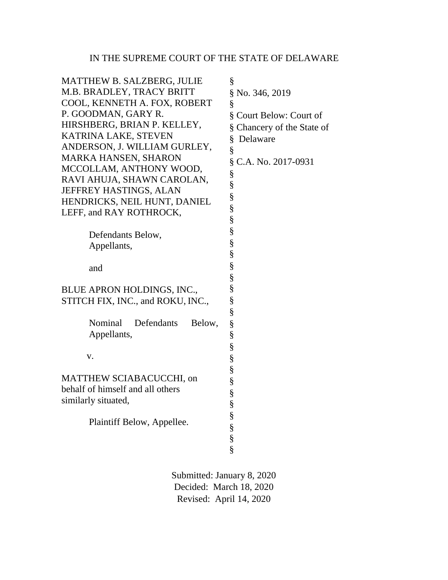## IN THE SUPREME COURT OF THE STATE OF DELAWARE

| <b>MATTHEW B. SALZBERG, JULIE</b><br>M.B. BRADLEY, TRACY BRITT<br>COOL, KENNETH A. FOX, ROBERT<br>P. GOODMAN, GARY R.<br>HIRSHBERG, BRIAN P. KELLEY,<br>KATRINA LAKE, STEVEN<br>ANDERSON, J. WILLIAM GURLEY,<br><b>MARKA HANSEN, SHARON</b><br>MCCOLLAM, ANTHONY WOOD,<br>RAVI AHUJA, SHAWN CAROLAN,<br><b>JEFFREY HASTINGS, ALAN</b><br>HENDRICKS, NEIL HUNT, DANIEL<br>LEFF, and RAY ROTHROCK, | §<br>§ No. 346, 2019<br>§<br>§ Court Below: Court of<br>§ Chancery of the State of<br>§<br>Delaware<br>§<br>§<br>C.A. No. 2017-0931<br>§<br>§<br>S<br>S<br>S<br>§ |
|--------------------------------------------------------------------------------------------------------------------------------------------------------------------------------------------------------------------------------------------------------------------------------------------------------------------------------------------------------------------------------------------------|-------------------------------------------------------------------------------------------------------------------------------------------------------------------|
| Defendants Below,<br>Appellants,                                                                                                                                                                                                                                                                                                                                                                 | $\S$<br>§                                                                                                                                                         |
| and                                                                                                                                                                                                                                                                                                                                                                                              | §<br>§                                                                                                                                                            |
| BLUE APRON HOLDINGS, INC.,<br>STITCH FIX, INC., and ROKU, INC.,                                                                                                                                                                                                                                                                                                                                  | §<br>§<br>§                                                                                                                                                       |
| Defendants<br>Nominal<br>Below,<br>Appellants,<br>V.                                                                                                                                                                                                                                                                                                                                             | §<br>§<br>§                                                                                                                                                       |
| MATTHEW SCIABACUCCHI, on<br>behalf of himself and all others<br>similarly situated,<br>Plaintiff Below, Appellee.                                                                                                                                                                                                                                                                                | §<br>§<br>§<br>§<br>§<br>§<br>$\frac{8}{8}$                                                                                                                       |

Submitted: January 8, 2020 Decided: March 18, 2020 Revised: April 14, 2020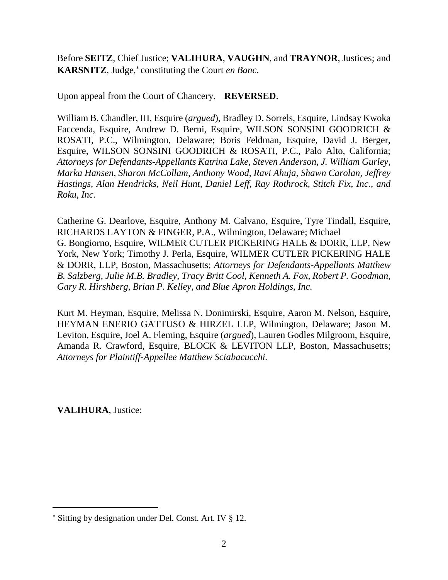Before **SEITZ**, Chief Justice; **VALIHURA**, **VAUGHN**, and **TRAYNOR**, Justices; and **KARSNITZ**, Judge, constituting the Court *en Banc*.

Upon appeal from the Court of Chancery. **REVERSED**.

William B. Chandler, III, Esquire (*argued*), Bradley D. Sorrels, Esquire, Lindsay Kwoka Faccenda, Esquire, Andrew D. Berni, Esquire, WILSON SONSINI GOODRICH & ROSATI, P.C., Wilmington, Delaware; Boris Feldman, Esquire, David J. Berger, Esquire, WILSON SONSINI GOODRICH & ROSATI, P.C., Palo Alto, California; *Attorneys for Defendants-Appellants Katrina Lake, Steven Anderson, J. William Gurley, Marka Hansen, Sharon McCollam, Anthony Wood, Ravi Ahuja, Shawn Carolan, Jeffrey Hastings, Alan Hendricks, Neil Hunt, Daniel Leff, Ray Rothrock, Stitch Fix, Inc., and Roku, Inc.*

Catherine G. Dearlove, Esquire, Anthony M. Calvano, Esquire, Tyre Tindall, Esquire, RICHARDS LAYTON & FINGER, P.A., Wilmington, Delaware; Michael G. Bongiorno, Esquire, WILMER CUTLER PICKERING HALE & DORR, LLP, New York, New York; Timothy J. Perla, Esquire, WILMER CUTLER PICKERING HALE & DORR, LLP, Boston, Massachusetts; *Attorneys for Defendants-Appellants Matthew B. Salzberg, Julie M.B. Bradley, Tracy Britt Cool, Kenneth A. Fox, Robert P. Goodman, Gary R. Hirshberg, Brian P. Kelley, and Blue Apron Holdings, Inc.*

Kurt M. Heyman, Esquire, Melissa N. Donimirski, Esquire, Aaron M. Nelson, Esquire, HEYMAN ENERIO GATTUSO & HIRZEL LLP, Wilmington, Delaware; Jason M. Leviton, Esquire, Joel A. Fleming, Esquire (*argued*), Lauren Godles Milgroom, Esquire, Amanda R. Crawford, Esquire, BLOCK & LEVITON LLP, Boston, Massachusetts; *Attorneys for Plaintiff-Appellee Matthew Sciabacucchi.*

**VALIHURA**, Justice:

Sitting by designation under Del. Const. Art. IV § 12.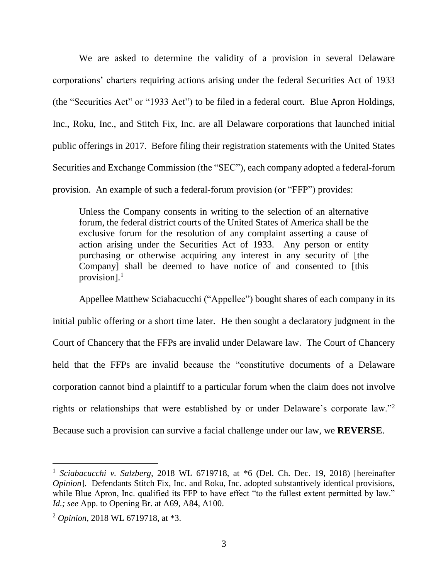We are asked to determine the validity of a provision in several Delaware corporations' charters requiring actions arising under the federal Securities Act of 1933 (the "Securities Act" or "1933 Act") to be filed in a federal court. Blue Apron Holdings, Inc., Roku, Inc., and Stitch Fix, Inc. are all Delaware corporations that launched initial public offerings in 2017. Before filing their registration statements with the United States Securities and Exchange Commission (the "SEC"), each company adopted a federal-forum provision. An example of such a federal-forum provision (or "FFP") provides:

Unless the Company consents in writing to the selection of an alternative forum, the federal district courts of the United States of America shall be the exclusive forum for the resolution of any complaint asserting a cause of action arising under the Securities Act of 1933. Any person or entity purchasing or otherwise acquiring any interest in any security of [the Company] shall be deemed to have notice of and consented to [this provision].<sup>1</sup>

Appellee Matthew Sciabacucchi ("Appellee") bought shares of each company in its initial public offering or a short time later. He then sought a declaratory judgment in the Court of Chancery that the FFPs are invalid under Delaware law. The Court of Chancery held that the FFPs are invalid because the "constitutive documents of a Delaware corporation cannot bind a plaintiff to a particular forum when the claim does not involve rights or relationships that were established by or under Delaware's corporate law."<sup>2</sup> Because such a provision can survive a facial challenge under our law, we **REVERSE**.

<sup>&</sup>lt;sup>1</sup> Sciabacucchi v. Salzberg, 2018 WL 6719718, at \*6 (Del. Ch. Dec. 19, 2018) [hereinafter *Opinion*]. Defendants Stitch Fix, Inc. and Roku, Inc. adopted substantively identical provisions, while Blue Apron, Inc. qualified its FFP to have effect "to the fullest extent permitted by law." *Id.; see* App. to Opening Br. at A69, A84, A100.

<sup>2</sup> *Opinion*, 2018 WL 6719718, at \*3.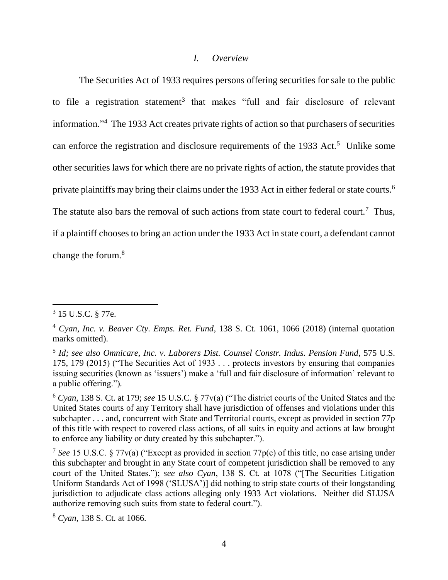#### *I. Overview*

The Securities Act of 1933 requires persons offering securities for sale to the public to file a registration statement<sup>3</sup> that makes "full and fair disclosure of relevant information."<sup>4</sup> The 1933 Act creates private rights of action so that purchasers of securities can enforce the registration and disclosure requirements of the  $1933$  Act.<sup>5</sup> Unlike some other securities laws for which there are no private rights of action, the statute provides that private plaintiffs may bring their claims under the 1933 Act in either federal or state courts.<sup>6</sup> The statute also bars the removal of such actions from state court to federal court.<sup>7</sup> Thus, if a plaintiff chooses to bring an action under the 1933 Act in state court, a defendant cannot change the forum.<sup>8</sup>

 $3$  15 U.S.C.  $\S$  77e.

<sup>4</sup> *Cyan, Inc. v. Beaver Cty. Emps. Ret. Fund*, 138 S. Ct. 1061, 1066 (2018) (internal quotation marks omitted).

<sup>5</sup> *Id; see also Omnicare, Inc. v. Laborers Dist. Counsel Constr. Indus. Pension Fund*, 575 U.S. 175, 179 (2015) ("The Securities Act of 1933 . . . protects investors by ensuring that companies issuing securities (known as 'issuers') make a 'full and fair disclosure of information' relevant to a public offering.")*.*

<sup>6</sup> *Cyan*, 138 S. Ct. at 179; *see* 15 U.S.C. § 77v(a) ("The district courts of the United States and the United States courts of any Territory shall have jurisdiction of offenses and violations under this subchapter . . . and, concurrent with State and Territorial courts, except as provided in section 77p of this title with respect to covered class actions, of all suits in equity and actions at law brought to enforce any liability or duty created by this subchapter.").

<sup>7</sup> *See* 15 U.S.C. § 77v(a) ("Except as provided in section 77p(c) of this title, no case arising under this subchapter and brought in any State court of competent jurisdiction shall be removed to any court of the United States."); *see also Cyan*, 138 S. Ct. at 1078 ("[The Securities Litigation Uniform Standards Act of 1998 ('SLUSA')] did nothing to strip state courts of their longstanding jurisdiction to adjudicate class actions alleging only 1933 Act violations. Neither did SLUSA authorize removing such suits from state to federal court.").

<sup>8</sup> *Cyan*, 138 S. Ct. at 1066.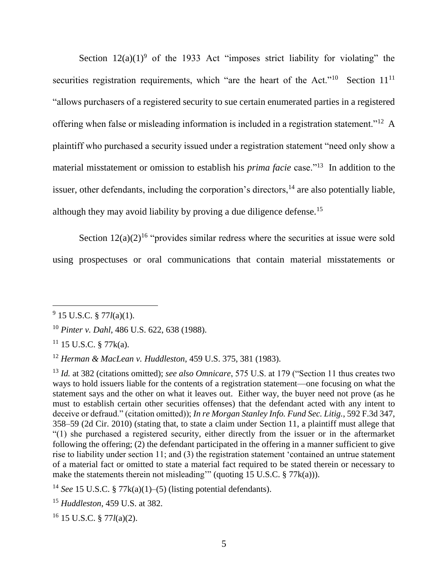Section  $12(a)(1)^9$  of the 1933 Act "imposes strict liability for violating" the securities registration requirements, which "are the heart of the Act."<sup>10</sup> Section  $11^{11}$ "allows purchasers of a registered security to sue certain enumerated parties in a registered offering when false or misleading information is included in a registration statement."<sup>12</sup> A plaintiff who purchased a security issued under a registration statement "need only show a material misstatement or omission to establish his *prima facie* case."<sup>13</sup> In addition to the issuer, other defendants, including the corporation's directors,  $14$  are also potentially liable, although they may avoid liability by proving a due diligence defense.<sup>15</sup>

Section  $12(a)(2)^{16}$  "provides similar redress where the securities at issue were sold using prospectuses or oral communications that contain material misstatements or

<sup>9</sup> 15 U.S.C. § 77*l*(a)(1).

<sup>10</sup> *Pinter v. Dahl*, 486 U.S. 622, 638 (1988).

 $11$  15 U.S.C. § 77 $k(a)$ .

<sup>12</sup> *Herman & MacLean v. Huddleston*, 459 U.S. 375, 381 (1983).

<sup>13</sup> *Id.* at 382 (citations omitted); *see also Omnicare*, 575 U.S. at 179 ("Section 11 thus creates two ways to hold issuers liable for the contents of a registration statement—one focusing on what the statement says and the other on what it leaves out. Either way, the buyer need not prove (as he must to establish certain other securities offenses) that the defendant acted with any intent to deceive or defraud." (citation omitted)); *In re Morgan Stanley Info. Fund Sec. Litig.*, 592 F.3d 347, 358–59 (2d Cir. 2010) (stating that, to state a claim under Section 11, a plaintiff must allege that "(1) she purchased a registered security, either directly from the issuer or in the aftermarket following the offering; (2) the defendant participated in the offering in a manner sufficient to give rise to liability under section 11; and (3) the registration statement 'contained an untrue statement of a material fact or omitted to state a material fact required to be stated therein or necessary to make the statements therein not misleading'" (quoting 15 U.S.C.  $\S 77k(a)$ )).

<sup>&</sup>lt;sup>14</sup> *See* 15 U.S.C. § 77 $k(a)(1)$ –(5) (listing potential defendants).

<sup>15</sup> *Huddleston*, 459 U.S. at 382.

<sup>16</sup> 15 U.S.C. § 77*l*(a)(2).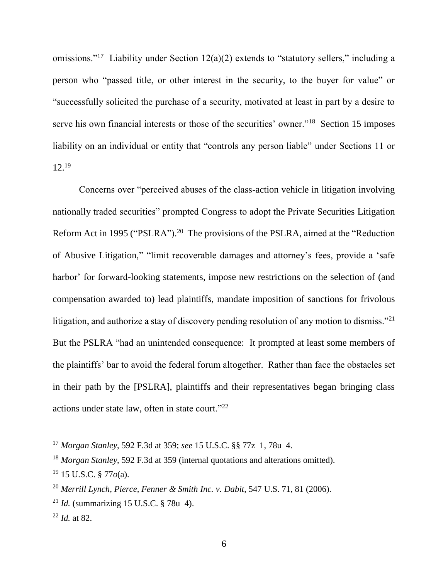omissions."<sup>17</sup> Liability under Section 12(a)(2) extends to "statutory sellers," including a person who "passed title, or other interest in the security, to the buyer for value" or "successfully solicited the purchase of a security, motivated at least in part by a desire to serve his own financial interests or those of the securities' owner."<sup>18</sup> Section 15 imposes liability on an individual or entity that "controls any person liable" under Sections 11 or  $12^{19}$ 

Concerns over "perceived abuses of the class-action vehicle in litigation involving nationally traded securities" prompted Congress to adopt the Private Securities Litigation Reform Act in 1995 ("PSLRA").<sup>20</sup> The provisions of the PSLRA, aimed at the "Reduction of Abusive Litigation," "limit recoverable damages and attorney's fees, provide a 'safe harbor' for forward-looking statements, impose new restrictions on the selection of (and compensation awarded to) lead plaintiffs, mandate imposition of sanctions for frivolous litigation, and authorize a stay of discovery pending resolution of any motion to dismiss."<sup>21</sup> But the PSLRA "had an unintended consequence: It prompted at least some members of the plaintiffs' bar to avoid the federal forum altogether. Rather than face the obstacles set in their path by the [PSLRA], plaintiffs and their representatives began bringing class actions under state law, often in state court."<sup>22</sup>

<sup>17</sup> *Morgan Stanley*, 592 F.3d at 359; *see* 15 U.S.C. §§ 77z–1, 78u–4.

<sup>18</sup> *Morgan Stanley*, 592 F.3d at 359 (internal quotations and alterations omitted). <sup>19</sup> 15 U.S.C. § 77*o*(a).

<sup>20</sup> *Merrill Lynch, Pierce, Fenner & Smith Inc. v. Dabit*, 547 U.S. 71, 81 (2006).

<sup>21</sup> *Id.* (summarizing 15 U.S.C. § 78u–4).

<sup>22</sup> *Id.* at 82.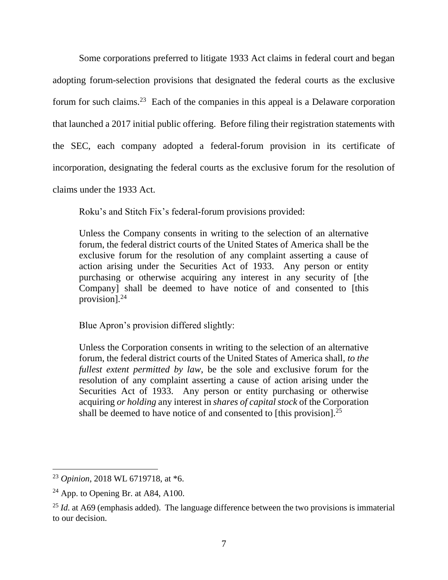Some corporations preferred to litigate 1933 Act claims in federal court and began adopting forum-selection provisions that designated the federal courts as the exclusive forum for such claims.<sup>23</sup> Each of the companies in this appeal is a Delaware corporation that launched a 2017 initial public offering. Before filing their registration statements with the SEC, each company adopted a federal-forum provision in its certificate of incorporation, designating the federal courts as the exclusive forum for the resolution of claims under the 1933 Act.

Roku's and Stitch Fix's federal-forum provisions provided:

Unless the Company consents in writing to the selection of an alternative forum, the federal district courts of the United States of America shall be the exclusive forum for the resolution of any complaint asserting a cause of action arising under the Securities Act of 1933. Any person or entity purchasing or otherwise acquiring any interest in any security of [the Company] shall be deemed to have notice of and consented to [this provision].<sup>24</sup>

Blue Apron's provision differed slightly:

Unless the Corporation consents in writing to the selection of an alternative forum, the federal district courts of the United States of America shall, *to the fullest extent permitted by law*, be the sole and exclusive forum for the resolution of any complaint asserting a cause of action arising under the Securities Act of 1933. Any person or entity purchasing or otherwise acquiring *or holding* any interest in *shares of capital stock* of the Corporation shall be deemed to have notice of and consented to [this provision].<sup>25</sup>

<sup>23</sup> *Opinion*, 2018 WL 6719718, at \*6.

 $24$  App. to Opening Br. at A84, A100.

<sup>&</sup>lt;sup>25</sup> *Id.* at A69 (emphasis added). The language difference between the two provisions is immaterial to our decision.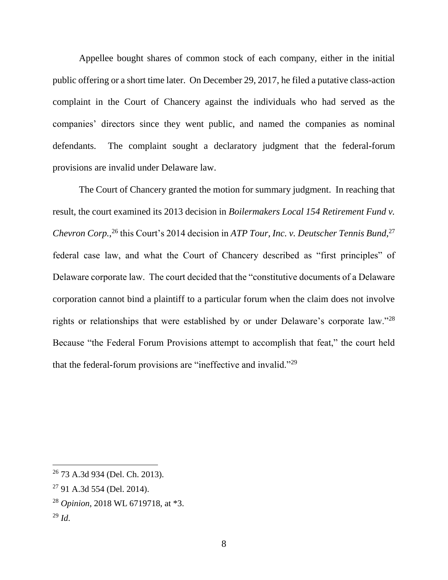Appellee bought shares of common stock of each company, either in the initial public offering or a short time later. On December 29, 2017, he filed a putative class-action complaint in the Court of Chancery against the individuals who had served as the companies' directors since they went public, and named the companies as nominal defendants. The complaint sought a declaratory judgment that the federal-forum provisions are invalid under Delaware law.

The Court of Chancery granted the motion for summary judgment. In reaching that result, the court examined its 2013 decision in *Boilermakers Local 154 Retirement Fund v.*  Chevron Corp.,<sup>26</sup> this Court's 2014 decision in *ATP Tour, Inc. v. Deutscher Tennis Bund*,<sup>27</sup> federal case law, and what the Court of Chancery described as "first principles" of Delaware corporate law. The court decided that the "constitutive documents of a Delaware corporation cannot bind a plaintiff to a particular forum when the claim does not involve rights or relationships that were established by or under Delaware's corporate law."28 Because "the Federal Forum Provisions attempt to accomplish that feat," the court held that the federal-forum provisions are "ineffective and invalid."<sup>29</sup>

- <sup>28</sup> *Opinion*, 2018 WL 6719718, at \*3.
- $^{29}$  *Id.*

<sup>26</sup> 73 A.3d 934 (Del. Ch. 2013).

<sup>27</sup> 91 A.3d 554 (Del. 2014).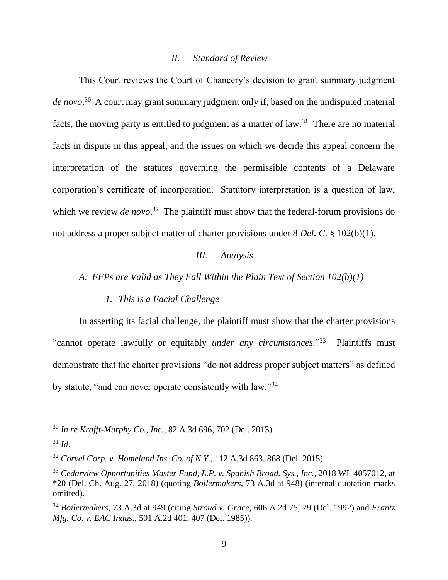#### *II. Standard of Review*

This Court reviews the Court of Chancery's decision to grant summary judgment *de novo*. 30 A court may grant summary judgment only if, based on the undisputed material facts, the moving party is entitled to judgment as a matter of law.<sup>31</sup> There are no material facts in dispute in this appeal, and the issues on which we decide this appeal concern the interpretation of the statutes governing the permissible contents of a Delaware corporation's certificate of incorporation. Statutory interpretation is a question of law, which we review *de novo*.<sup>32</sup> The plaintiff must show that the federal-forum provisions do not address a proper subject matter of charter provisions under 8 *Del*. *C*. § 102(b)(1).

### *III. Analysis*

*A. FFPs are Valid as They Fall Within the Plain Text of Section 102(b)(1)*

## *1. This is a Facial Challenge*

In asserting its facial challenge, the plaintiff must show that the charter provisions "cannot operate lawfully or equitably *under any circumstances*." 33 Plaintiffs must demonstrate that the charter provisions "do not address proper subject matters" as defined by statute, "and can never operate consistently with law."<sup>34</sup>

<sup>30</sup> *In re Krafft-Murphy Co., Inc.*, 82 A.3d 696, 702 (Del. 2013).

 $31$  *Id.* 

<sup>32</sup> *Corvel Corp. v. Homeland Ins. Co. of N.Y*., 112 A.3d 863, 868 (Del. 2015).

<sup>33</sup> *Cedarview Opportunities Master Fund, L.P. v. Spanish Broad. Sys., Inc.*, 2018 WL 4057012, at \*20 (Del. Ch. Aug. 27, 2018) (quoting *Boilermakers*, 73 A.3d at 948) (internal quotation marks omitted).

<sup>34</sup> *Boilermakers*, 73 A.3d at 949 (citing *Stroud v. Grace*, 606 A.2d 75, 79 (Del. 1992) and *Frantz Mfg. Co. v. EAC Indus.*, 501 A.2d 401, 407 (Del. 1985)).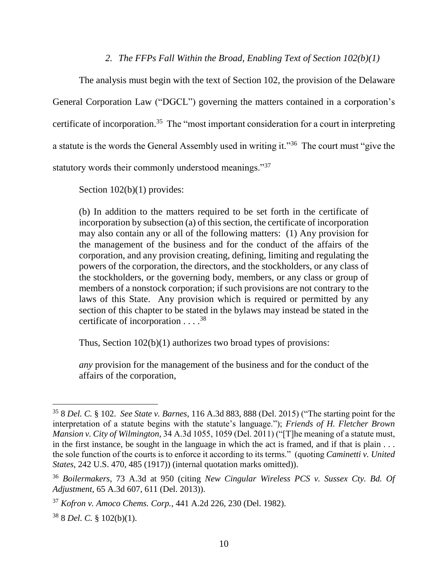## *2. The FFPs Fall Within the Broad, Enabling Text of Section 102(b)(1)*

The analysis must begin with the text of Section 102, the provision of the Delaware General Corporation Law ("DGCL") governing the matters contained in a corporation's certificate of incorporation.<sup>35</sup> The "most important consideration for a court in interpreting a statute is the words the General Assembly used in writing it."<sup>36</sup> The court must "give the statutory words their commonly understood meanings."<sup>37</sup>

Section  $102(b)(1)$  provides:

(b) In addition to the matters required to be set forth in the certificate of incorporation by subsection (a) of this section, the certificate of incorporation may also contain any or all of the following matters: (1) Any provision for the management of the business and for the conduct of the affairs of the corporation, and any provision creating, defining, limiting and regulating the powers of the corporation, the directors, and the stockholders, or any class of the stockholders, or the governing body, members, or any class or group of members of a nonstock corporation; if such provisions are not contrary to the laws of this State. Any provision which is required or permitted by any section of this chapter to be stated in the bylaws may instead be stated in the certificate of incorporation . . . . 38

Thus, Section 102(b)(1) authorizes two broad types of provisions:

*any* provision for the management of the business and for the conduct of the affairs of the corporation,

<sup>35</sup> 8 *Del. C.* § 102. *See State v. Barnes*, 116 A.3d 883, 888 (Del. 2015) ("The starting point for the interpretation of a statute begins with the statute's language."); *Friends of H. Fletcher Brown Mansion v. City of Wilmington*, 34 A.3d 1055, 1059 (Del. 2011) ("[T]he meaning of a statute must, in the first instance, be sought in the language in which the act is framed, and if that is plain . . . the sole function of the courts is to enforce it according to its terms." (quoting *Caminetti v. United States*, 242 U.S. 470, 485 (1917)) (internal quotation marks omitted)).

<sup>36</sup> *Boilermakers*, 73 A.3d at 950 (citing *New Cingular Wireless PCS v. Sussex Cty. Bd. Of Adjustment*, 65 A.3d 607, 611 (Del. 2013)).

<sup>37</sup> *Kofron v. Amoco Chems. Corp.*, 441 A.2d 226, 230 (Del. 1982).

<sup>38</sup> 8 *Del. C.* § 102(b)(1).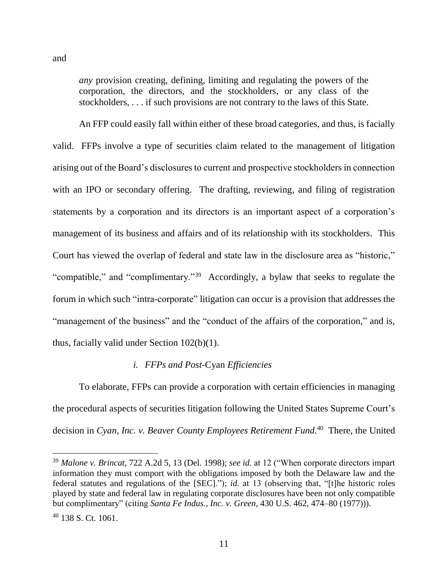and

 $\overline{a}$ 

*any* provision creating, defining, limiting and regulating the powers of the corporation, the directors, and the stockholders, or any class of the stockholders, . . . if such provisions are not contrary to the laws of this State.

An FFP could easily fall within either of these broad categories, and thus, is facially valid. FFPs involve a type of securities claim related to the management of litigation arising out of the Board's disclosures to current and prospective stockholders in connection with an IPO or secondary offering. The drafting, reviewing, and filing of registration statements by a corporation and its directors is an important aspect of a corporation's management of its business and affairs and of its relationship with its stockholders. This Court has viewed the overlap of federal and state law in the disclosure area as "historic," "compatible," and "complimentary."<sup>39</sup> Accordingly, a bylaw that seeks to regulate the forum in which such "intra-corporate" litigation can occur is a provision that addresses the "management of the business" and the "conduct of the affairs of the corporation," and is, thus, facially valid under Section 102(b)(1).

#### *i. FFPs and Post-*Cyan *Efficiencies*

To elaborate, FFPs can provide a corporation with certain efficiencies in managing the procedural aspects of securities litigation following the United States Supreme Court's decision in *Cyan, Inc. v. Beaver County Employees Retirement Fund.*<sup>40</sup> There, the United

<sup>39</sup> *Malone v. Brincat*, 722 A.2d 5, 13 (Del. 1998); *see id.* at 12 ("When corporate directors impart information they must comport with the obligations imposed by both the Delaware law and the federal statutes and regulations of the [SEC]."); *id.* at 13 (observing that, "[t]he historic roles played by state and federal law in regulating corporate disclosures have been not only compatible but complimentary" (citing *Santa Fe Indus., Inc. v. Green*, 430 U.S. 462, 474–80 (1977))).  $40$  138 S. Ct. 1061.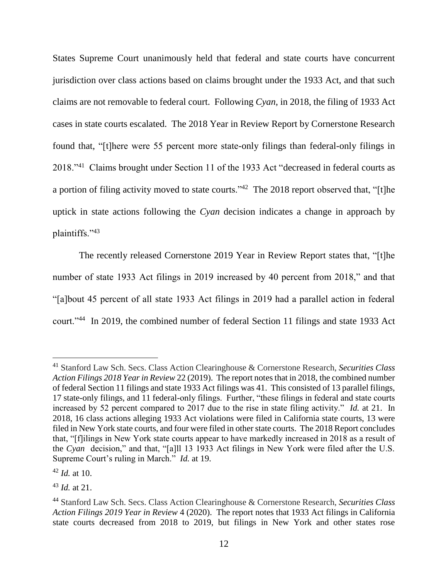States Supreme Court unanimously held that federal and state courts have concurrent jurisdiction over class actions based on claims brought under the 1933 Act, and that such claims are not removable to federal court. Following *Cyan*, in 2018, the filing of 1933 Act cases in state courts escalated. The 2018 Year in Review Report by Cornerstone Research found that, "[t]here were 55 percent more state-only filings than federal-only filings in 2018."<sup>41</sup> Claims brought under Section 11 of the 1933 Act "decreased in federal courts as a portion of filing activity moved to state courts."<sup>42</sup> The 2018 report observed that, "[t]he uptick in state actions following the *Cyan* decision indicates a change in approach by plaintiffs."<sup>43</sup>

The recently released Cornerstone 2019 Year in Review Report states that, "[t]he number of state 1933 Act filings in 2019 increased by 40 percent from 2018," and that "[a]bout 45 percent of all state 1933 Act filings in 2019 had a parallel action in federal court."<sup>44</sup> In 2019, the combined number of federal Section 11 filings and state 1933 Act

<sup>41</sup> Stanford Law Sch. Secs. Class Action Clearinghouse & Cornerstone Research, *Securities Class Action Filings 2018 Year in Review* 22 (2019). The report notes that in 2018, the combined number of federal Section 11 filings and state 1933 Act filings was 41. This consisted of 13 parallel filings, 17 state-only filings, and 11 federal-only filings. Further, "these filings in federal and state courts increased by 52 percent compared to 2017 due to the rise in state filing activity." *Id.* at 21. In 2018, 16 class actions alleging 1933 Act violations were filed in California state courts, 13 were filed in New York state courts, and four were filed in other state courts. The 2018 Report concludes that, "[f]ilings in New York state courts appear to have markedly increased in 2018 as a result of the *Cyan* decision," and that, "[a]ll 13 1933 Act filings in New York were filed after the U.S. Supreme Court's ruling in March." *Id.* at 19.

<sup>42</sup> *Id.* at 10.

<sup>43</sup> *Id.* at 21.

<sup>44</sup> Stanford Law Sch. Secs. Class Action Clearinghouse & Cornerstone Research, *Securities Class Action Filings 2019 Year in Review* 4 (2020). The report notes that 1933 Act filings in California state courts decreased from 2018 to 2019, but filings in New York and other states rose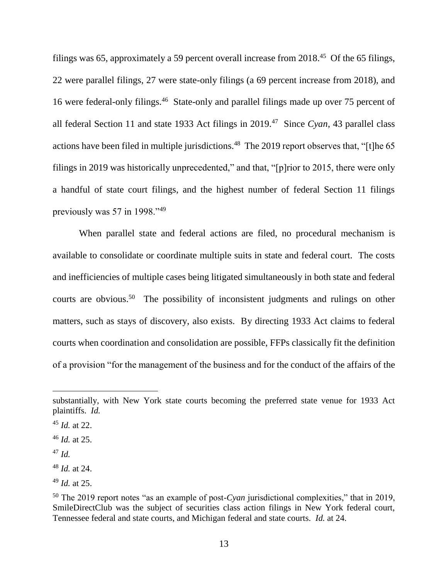filings was 65, approximately a 59 percent overall increase from 2018.<sup>45</sup> Of the 65 filings, 22 were parallel filings, 27 were state-only filings (a 69 percent increase from 2018), and 16 were federal-only filings.<sup>46</sup> State-only and parallel filings made up over 75 percent of all federal Section 11 and state 1933 Act filings in 2019.<sup>47</sup> Since *Cyan*, 43 parallel class actions have been filed in multiple jurisdictions.<sup>48</sup> The 2019 report observes that, "[t]he 65 filings in 2019 was historically unprecedented," and that, "[p]rior to 2015, there were only a handful of state court filings, and the highest number of federal Section 11 filings previously was 57 in 1998."<sup>49</sup>

When parallel state and federal actions are filed, no procedural mechanism is available to consolidate or coordinate multiple suits in state and federal court. The costs and inefficiencies of multiple cases being litigated simultaneously in both state and federal courts are obvious.<sup>50</sup> The possibility of inconsistent judgments and rulings on other matters, such as stays of discovery, also exists. By directing 1933 Act claims to federal courts when coordination and consolidation are possible, FFPs classically fit the definition of a provision "for the management of the business and for the conduct of the affairs of the

substantially, with New York state courts becoming the preferred state venue for 1933 Act plaintiffs. *Id.*

<sup>45</sup> *Id.* at 22.

<sup>46</sup> *Id.* at 25.

<sup>47</sup> *Id.*

<sup>48</sup> *Id.* at 24.

<sup>49</sup> *Id.* at 25.

<sup>50</sup> The 2019 report notes "as an example of post-*Cyan* jurisdictional complexities," that in 2019, SmileDirectClub was the subject of securities class action filings in New York federal court, Tennessee federal and state courts, and Michigan federal and state courts. *Id.* at 24.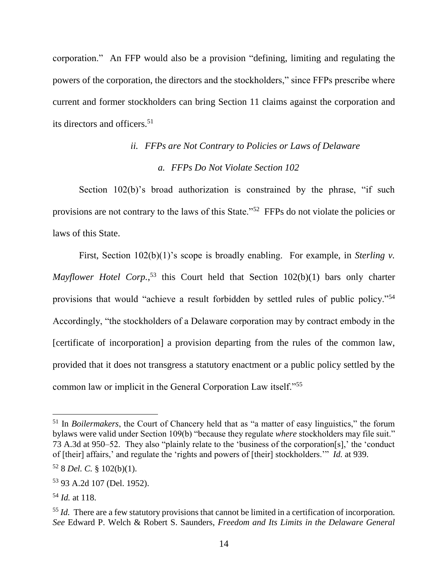corporation." An FFP would also be a provision "defining, limiting and regulating the powers of the corporation, the directors and the stockholders," since FFPs prescribe where current and former stockholders can bring Section 11 claims against the corporation and its directors and officers.<sup>51</sup>

# *ii. FFPs are Not Contrary to Policies or Laws of Delaware a. FFPs Do Not Violate Section 102*

Section 102(b)'s broad authorization is constrained by the phrase, "if such provisions are not contrary to the laws of this State."<sup>52</sup> FFPs do not violate the policies or laws of this State.

First, Section 102(b)(1)'s scope is broadly enabling. For example, in *Sterling v.* Mayflower Hotel Corp.<sup>53</sup> this Court held that Section 102(b)(1) bars only charter provisions that would "achieve a result forbidden by settled rules of public policy."<sup>54</sup> Accordingly, "the stockholders of a Delaware corporation may by contract embody in the [certificate of incorporation] a provision departing from the rules of the common law, provided that it does not transgress a statutory enactment or a public policy settled by the common law or implicit in the General Corporation Law itself."<sup>55</sup>

<sup>51</sup> In *Boilermakers*, the Court of Chancery held that as "a matter of easy linguistics," the forum bylaws were valid under Section 109(b) "because they regulate *where* stockholders may file suit." 73 A.3d at 950–52. They also "plainly relate to the 'business of the corporation[s],' the 'conduct of [their] affairs,' and regulate the 'rights and powers of [their] stockholders.'" *Id.* at 939.

<sup>52</sup> 8 *Del. C.* § 102(b)(1).

<sup>53</sup> 93 A.2d 107 (Del. 1952).

<sup>54</sup> *Id.* at 118.

<sup>&</sup>lt;sup>55</sup> *Id.* There are a few statutory provisions that cannot be limited in a certification of incorporation. *See* Edward P. Welch & Robert S. Saunders, *Freedom and Its Limits in the Delaware General*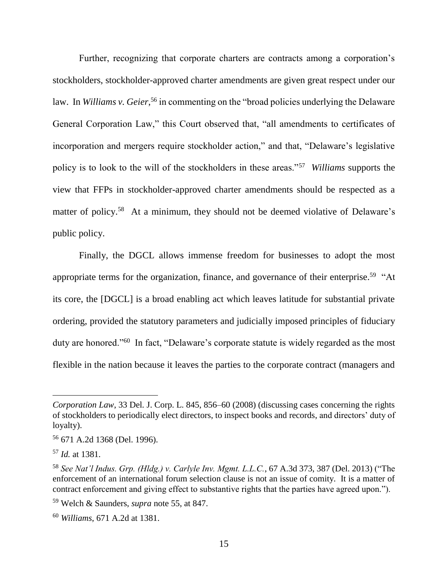Further, recognizing that corporate charters are contracts among a corporation's stockholders, stockholder-approved charter amendments are given great respect under our law. In *Williams v. Geier*,<sup>56</sup> in commenting on the "broad policies underlying the Delaware General Corporation Law," this Court observed that, "all amendments to certificates of incorporation and mergers require stockholder action," and that, "Delaware's legislative policy is to look to the will of the stockholders in these areas."<sup>57</sup> *Williams* supports the view that FFPs in stockholder-approved charter amendments should be respected as a matter of policy.<sup>58</sup> At a minimum, they should not be deemed violative of Delaware's public policy.

Finally, the DGCL allows immense freedom for businesses to adopt the most appropriate terms for the organization, finance, and governance of their enterprise.<sup>59</sup> "At its core, the [DGCL] is a broad enabling act which leaves latitude for substantial private ordering, provided the statutory parameters and judicially imposed principles of fiduciary duty are honored."<sup>60</sup> In fact, "Delaware's corporate statute is widely regarded as the most flexible in the nation because it leaves the parties to the corporate contract (managers and

*Corporation Law*, 33 Del. J. Corp. L. 845, 856–60 (2008) (discussing cases concerning the rights of stockholders to periodically elect directors, to inspect books and records, and directors' duty of loyalty).

<sup>56</sup> 671 A.2d 1368 (Del. 1996).

<sup>57</sup> *Id.* at 1381.

<sup>58</sup> *See Nat'l Indus. Grp. (Hldg.) v. Carlyle Inv. Mgmt. L.L.C.*, 67 A.3d 373, 387 (Del. 2013) ("The enforcement of an international forum selection clause is not an issue of comity. It is a matter of contract enforcement and giving effect to substantive rights that the parties have agreed upon.").

<sup>59</sup> Welch & Saunders, *supra* note 55, at 847.

<sup>60</sup> *Williams*, 671 A.2d at 1381.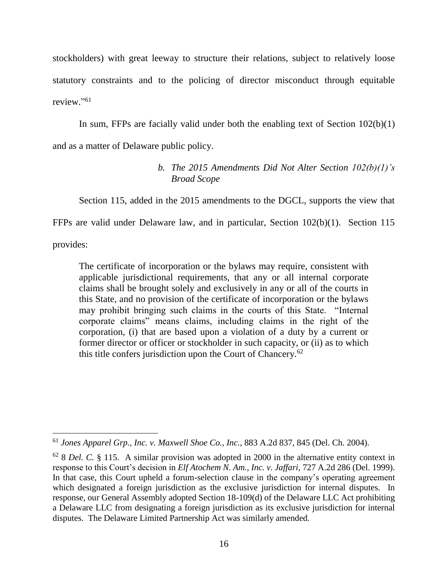stockholders) with great leeway to structure their relations, subject to relatively loose statutory constraints and to the policing of director misconduct through equitable review." 61

In sum, FFPs are facially valid under both the enabling text of Section  $102(b)(1)$ and as a matter of Delaware public policy.

## *b. The 2015 Amendments Did Not Alter Section 102(b)(1)'s Broad Scope*

Section 115, added in the 2015 amendments to the DGCL, supports the view that

FFPs are valid under Delaware law, and in particular, Section 102(b)(1). Section 115

provides:

The certificate of incorporation or the bylaws may require, consistent with applicable jurisdictional requirements, that any or all internal corporate claims shall be brought solely and exclusively in any or all of the courts in this State, and no provision of the certificate of incorporation or the bylaws may prohibit bringing such claims in the courts of this State. "Internal corporate claims" means claims, including claims in the right of the corporation, (i) that are based upon a violation of a duty by a current or former director or officer or stockholder in such capacity, or (ii) as to which this title confers jurisdiction upon the Court of Chancery.<sup>62</sup>

 <sup>61</sup> *Jones Apparel Grp., Inc. v. Maxwell Shoe Co., Inc.*, 883 A.2d 837, 845 (Del. Ch. 2004).

<sup>62</sup> 8 *Del. C.* § 115. A similar provision was adopted in 2000 in the alternative entity context in response to this Court's decision in *Elf Atochem N. Am., Inc. v. Jaffari*, 727 A.2d 286 (Del. 1999). In that case, this Court upheld a forum-selection clause in the company's operating agreement which designated a foreign jurisdiction as the exclusive jurisdiction for internal disputes. In response, our General Assembly adopted Section 18-109(d) of the Delaware LLC Act prohibiting a Delaware LLC from designating a foreign jurisdiction as its exclusive jurisdiction for internal disputes. The Delaware Limited Partnership Act was similarly amended.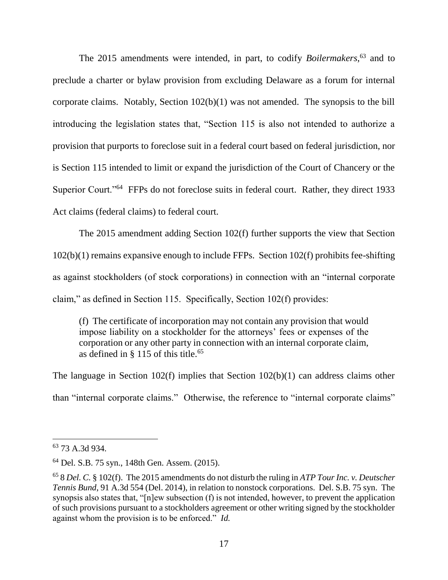The 2015 amendments were intended, in part, to codify *Boilermakers*, <sup>63</sup> and to preclude a charter or bylaw provision from excluding Delaware as a forum for internal corporate claims. Notably, Section 102(b)(1) was not amended. The synopsis to the bill introducing the legislation states that, "Section 115 is also not intended to authorize a provision that purports to foreclose suit in a federal court based on federal jurisdiction, nor is Section 115 intended to limit or expand the jurisdiction of the Court of Chancery or the Superior Court."<sup>64</sup> FFPs do not foreclose suits in federal court. Rather, they direct 1933 Act claims (federal claims) to federal court.

The 2015 amendment adding Section 102(f) further supports the view that Section 102(b)(1) remains expansive enough to include FFPs. Section 102(f) prohibits fee-shifting as against stockholders (of stock corporations) in connection with an "internal corporate claim," as defined in Section 115. Specifically, Section 102(f) provides:

(f) The certificate of incorporation may not contain any provision that would impose liability on a stockholder for the attorneys' fees or expenses of the corporation or any other party in connection with an internal corporate claim, as defined in  $\S$  115 of this title.<sup>65</sup>

The language in Section 102(f) implies that Section 102(b)(1) can address claims other than "internal corporate claims." Otherwise, the reference to "internal corporate claims"

<sup>63</sup> 73 A.3d 934.

<sup>64</sup> Del. S.B. 75 syn., 148th Gen. Assem. (2015).

<sup>65</sup> 8 *Del. C.* § 102(f). The 2015 amendments do not disturb the ruling in *ATP Tour Inc. v. Deutscher Tennis Bund*, 91 A.3d 554 (Del. 2014), in relation to nonstock corporations. Del. S.B. 75 syn. The synopsis also states that, "[n]ew subsection (f) is not intended, however, to prevent the application of such provisions pursuant to a stockholders agreement or other writing signed by the stockholder against whom the provision is to be enforced." *Id.*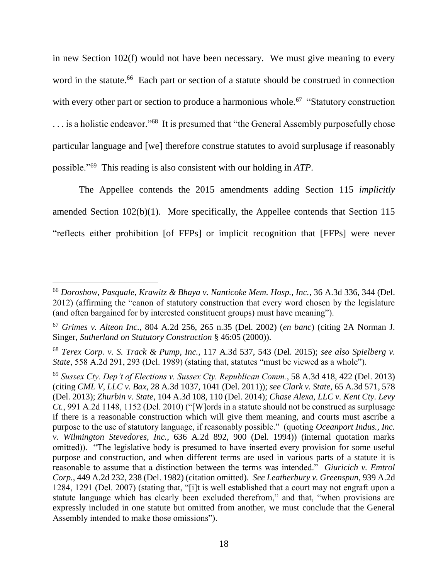in new Section 102(f) would not have been necessary. We must give meaning to every word in the statute.<sup>66</sup> Each part or section of a statute should be construed in connection with every other part or section to produce a harmonious whole.<sup>67</sup> "Statutory construction ... is a holistic endeavor."<sup>68</sup> It is presumed that "the General Assembly purposefully chose particular language and [we] therefore construe statutes to avoid surplusage if reasonably possible."<sup>69</sup> This reading is also consistent with our holding in *ATP*.

The Appellee contends the 2015 amendments adding Section 115 *implicitly* amended Section 102(b)(1). More specifically, the Appellee contends that Section 115 "reflects either prohibition [of FFPs] or implicit recognition that [FFPs] were never

<sup>66</sup> *Doroshow, Pasquale, Krawitz & Bhaya v. Nanticoke Mem. Hosp., Inc.*, 36 A.3d 336, 344 (Del. 2012) (affirming the "canon of statutory construction that every word chosen by the legislature (and often bargained for by interested constituent groups) must have meaning").

<sup>67</sup> *Grimes v. Alteon Inc.*, 804 A.2d 256, 265 n.35 (Del. 2002) (*en banc*) (citing 2A Norman J. Singer, *Sutherland on Statutory Construction* § 46:05 (2000)).

<sup>68</sup> *Terex Corp. v. S. Track & Pump, Inc.*, 117 A.3d 537, 543 (Del. 2015); *see also Spielberg v. State*, 558 A.2d 291, 293 (Del. 1989) (stating that, statutes "must be viewed as a whole").

<sup>69</sup> *Sussex Cty. Dep't of Elections v. Sussex Cty. Republican Comm.*, 58 A.3d 418, 422 (Del. 2013) (citing *CML V, LLC v. Bax*, 28 A.3d 1037, 1041 (Del. 2011)); *see Clark v. State*, 65 A.3d 571, 578 (Del. 2013); *Zhurbin v. State*, 104 A.3d 108, 110 (Del. 2014); *Chase Alexa, LLC v. Kent Cty. Levy Ct.*, 991 A.2d 1148, 1152 (Del. 2010) ("[W]ords in a statute should not be construed as surplusage if there is a reasonable construction which will give them meaning, and courts must ascribe a purpose to the use of statutory language, if reasonably possible." (quoting *Oceanport Indus., Inc. v. Wilmington Stevedores, Inc.*, 636 A.2d 892, 900 (Del. 1994)) (internal quotation marks omitted)). "The legislative body is presumed to have inserted every provision for some useful purpose and construction, and when different terms are used in various parts of a statute it is reasonable to assume that a distinction between the terms was intended." *Giuricich v. Emtrol Corp.*, 449 A.2d 232, 238 (Del. 1982) (citation omitted). *See Leatherbury v. Greenspun*, 939 A.2d 1284, 1291 (Del. 2007) (stating that, "[i]t is well established that a court may not engraft upon a statute language which has clearly been excluded therefrom," and that, "when provisions are expressly included in one statute but omitted from another, we must conclude that the General Assembly intended to make those omissions").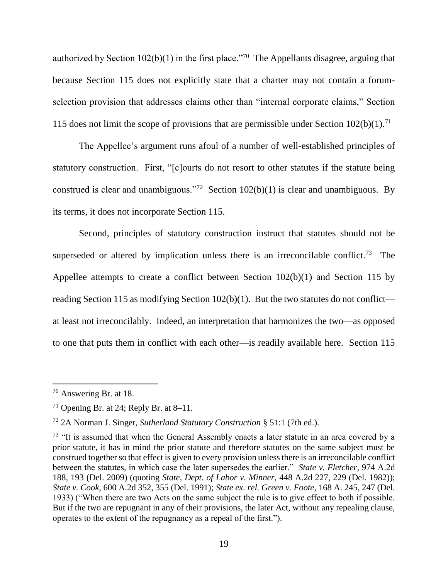authorized by Section  $102(b)(1)$  in the first place.<sup>770</sup> The Appellants disagree, arguing that because Section 115 does not explicitly state that a charter may not contain a forumselection provision that addresses claims other than "internal corporate claims," Section 115 does not limit the scope of provisions that are permissible under Section  $102(b)(1)$ .<sup>71</sup>

The Appellee's argument runs afoul of a number of well-established principles of statutory construction. First, "[c]ourts do not resort to other statutes if the statute being construed is clear and unambiguous."<sup>72</sup> Section  $102(b)(1)$  is clear and unambiguous. By its terms, it does not incorporate Section 115.

Second, principles of statutory construction instruct that statutes should not be superseded or altered by implication unless there is an irreconcilable conflict.<sup>73</sup> The Appellee attempts to create a conflict between Section 102(b)(1) and Section 115 by reading Section 115 as modifying Section 102(b)(1). But the two statutes do not conflict at least not irreconcilably. Indeed, an interpretation that harmonizes the two—as opposed to one that puts them in conflict with each other—is readily available here. Section 115

 $70$  Answering Br. at 18.

<sup>&</sup>lt;sup>71</sup> Opening Br. at 24; Reply Br. at  $8-11$ .

<sup>72</sup> 2A Norman J. Singer, *Sutherland Statutory Construction* § 51:1 (7th ed.).

<sup>&</sup>lt;sup>73</sup> "It is assumed that when the General Assembly enacts a later statute in an area covered by a prior statute, it has in mind the prior statute and therefore statutes on the same subject must be construed together so that effect is given to every provision unless there is an irreconcilable conflict between the statutes, in which case the later supersedes the earlier." *State v. Fletcher*, 974 A.2d 188, 193 (Del. 2009) (quoting *State, Dept. of Labor v. Minner*, 448 A.2d 227, 229 (Del. 1982)); *State v. Cook*, 600 A.2d 352, 355 (Del. 1991); *State ex. rel. Green v. Foote*, 168 A. 245, 247 (Del. 1933) ("When there are two Acts on the same subject the rule is to give effect to both if possible. But if the two are repugnant in any of their provisions, the later Act, without any repealing clause, operates to the extent of the repugnancy as a repeal of the first.").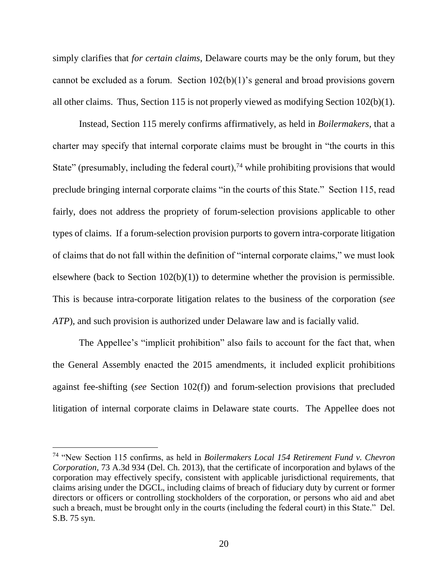simply clarifies that *for certain claims*, Delaware courts may be the only forum, but they cannot be excluded as a forum. Section 102(b)(1)'s general and broad provisions govern all other claims. Thus, Section 115 is not properly viewed as modifying Section 102(b)(1).

Instead, Section 115 merely confirms affirmatively, as held in *Boilermakers*, that a charter may specify that internal corporate claims must be brought in "the courts in this State" (presumably, including the federal court),<sup>74</sup> while prohibiting provisions that would preclude bringing internal corporate claims "in the courts of this State." Section 115, read fairly, does not address the propriety of forum-selection provisions applicable to other types of claims. If a forum-selection provision purports to govern intra-corporate litigation of claims that do not fall within the definition of "internal corporate claims," we must look elsewhere (back to Section 102(b)(1)) to determine whether the provision is permissible. This is because intra-corporate litigation relates to the business of the corporation (*see ATP*), and such provision is authorized under Delaware law and is facially valid.

The Appellee's "implicit prohibition" also fails to account for the fact that, when the General Assembly enacted the 2015 amendments, it included explicit prohibitions against fee-shifting (*see* Section 102(f)) and forum-selection provisions that precluded litigation of internal corporate claims in Delaware state courts. The Appellee does not

<sup>74</sup> "New Section 115 confirms, as held in *Boilermakers Local 154 Retirement Fund v. Chevron Corporation*, 73 A.3d 934 (Del. Ch. 2013), that the certificate of incorporation and bylaws of the corporation may effectively specify, consistent with applicable jurisdictional requirements, that claims arising under the DGCL, including claims of breach of fiduciary duty by current or former directors or officers or controlling stockholders of the corporation, or persons who aid and abet such a breach, must be brought only in the courts (including the federal court) in this State." Del. S.B. 75 syn.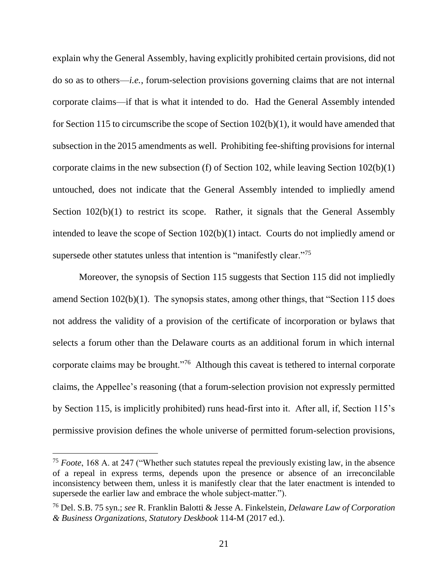explain why the General Assembly, having explicitly prohibited certain provisions, did not do so as to others—*i.e.*, forum-selection provisions governing claims that are not internal corporate claims—if that is what it intended to do. Had the General Assembly intended for Section 115 to circumscribe the scope of Section 102(b)(1), it would have amended that subsection in the 2015 amendments as well. Prohibiting fee-shifting provisions for internal corporate claims in the new subsection (f) of Section 102, while leaving Section 102(b)(1) untouched, does not indicate that the General Assembly intended to impliedly amend Section 102(b)(1) to restrict its scope. Rather, it signals that the General Assembly intended to leave the scope of Section 102(b)(1) intact. Courts do not impliedly amend or supersede other statutes unless that intention is "manifestly clear."<sup>75</sup>

Moreover, the synopsis of Section 115 suggests that Section 115 did not impliedly amend Section 102(b)(1). The synopsis states, among other things, that "Section 115 does not address the validity of a provision of the certificate of incorporation or bylaws that selects a forum other than the Delaware courts as an additional forum in which internal corporate claims may be brought."<sup>76</sup> Although this caveat is tethered to internal corporate claims, the Appellee's reasoning (that a forum-selection provision not expressly permitted by Section 115, is implicitly prohibited) runs head-first into it. After all, if, Section 115's permissive provision defines the whole universe of permitted forum-selection provisions,

<sup>75</sup> *Foote*, 168 A. at 247 ("Whether such statutes repeal the previously existing law, in the absence of a repeal in express terms, depends upon the presence or absence of an irreconcilable inconsistency between them, unless it is manifestly clear that the later enactment is intended to supersede the earlier law and embrace the whole subject-matter.").

<sup>76</sup> Del. S.B. 75 syn.; *see* R. Franklin Balotti & Jesse A. Finkelstein, *Delaware Law of Corporation & Business Organizations, Statutory Deskbook* 114-M (2017 ed.).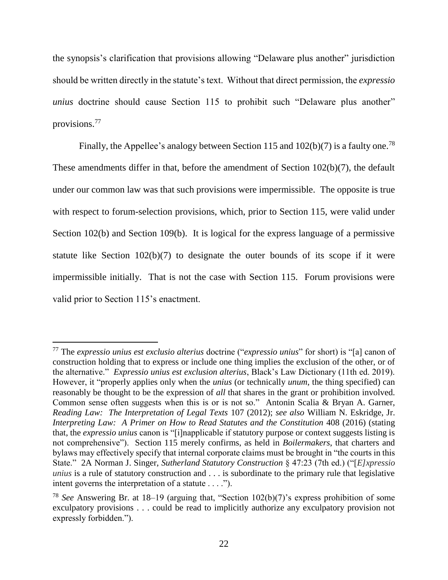the synopsis's clarification that provisions allowing "Delaware plus another" jurisdiction should be written directly in the statute's text. Without that direct permission, the *expressio unius* doctrine should cause Section 115 to prohibit such "Delaware plus another" provisions.<sup>77</sup>

Finally, the Appellee's analogy between Section 115 and  $102(b)(7)$  is a faulty one.<sup>78</sup> These amendments differ in that, before the amendment of Section 102(b)(7), the default under our common law was that such provisions were impermissible. The opposite is true with respect to forum-selection provisions, which, prior to Section 115, were valid under Section 102(b) and Section 109(b). It is logical for the express language of a permissive statute like Section 102(b)(7) to designate the outer bounds of its scope if it were impermissible initially. That is not the case with Section 115. Forum provisions were valid prior to Section 115's enactment.

<sup>77</sup> The *expressio unius est exclusio alterius* doctrine ("*expressio unius*" for short) is "[a] canon of construction holding that to express or include one thing implies the exclusion of the other, or of the alternative." *Expressio unius est exclusion alterius*, Black's Law Dictionary (11th ed. 2019). However, it "properly applies only when the *unius* (or technically *unum*, the thing specified) can reasonably be thought to be the expression of *all* that shares in the grant or prohibition involved. Common sense often suggests when this is or is not so." Antonin Scalia & Bryan A. Garner, *Reading Law: The Interpretation of Legal Texts* 107 (2012); *see also* William N. Eskridge, Jr. *Interpreting Law: A Primer on How to Read Statutes and the Constitution* 408 (2016) (stating that, the *expressio unius* canon is "[i]napplicable if statutory purpose or context suggests listing is not comprehensive"). Section 115 merely confirms, as held in *Boilermakers*, that charters and bylaws may effectively specify that internal corporate claims must be brought in "the courts in this State." 2A Norman J. Singer, *Sutherland Statutory Construction* § 47:23 (7th ed.) ("[*E]xpressio unius* is a rule of statutory construction and . . . is subordinate to the primary rule that legislative intent governs the interpretation of a statute . . . .").

<sup>78</sup> *See* Answering Br. at 18–19 (arguing that, "Section 102(b)(7)'s express prohibition of some exculpatory provisions . . . could be read to implicitly authorize any exculpatory provision not expressly forbidden.").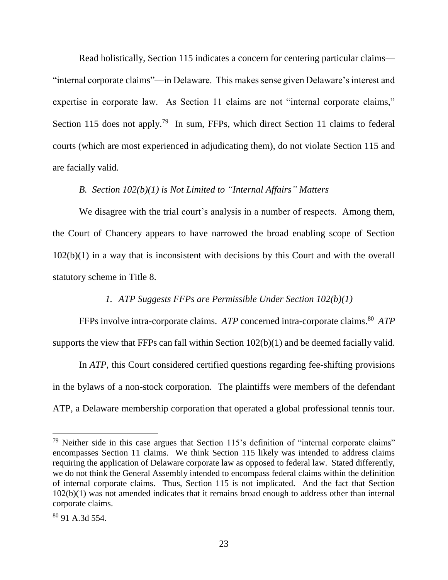Read holistically, Section 115 indicates a concern for centering particular claims— "internal corporate claims"—in Delaware. This makes sense given Delaware's interest and expertise in corporate law. As Section 11 claims are not "internal corporate claims," Section 115 does not apply.<sup>79</sup> In sum, FFPs, which direct Section 11 claims to federal courts (which are most experienced in adjudicating them), do not violate Section 115 and are facially valid.

## *B. Section 102(b)(1) is Not Limited to "Internal Affairs" Matters*

We disagree with the trial court's analysis in a number of respects. Among them, the Court of Chancery appears to have narrowed the broad enabling scope of Section 102(b)(1) in a way that is inconsistent with decisions by this Court and with the overall statutory scheme in Title 8.

## *1. ATP Suggests FFPs are Permissible Under Section 102(b)(1)*

FFPs involve intra-corporate claims. *ATP* concerned intra-corporate claims. <sup>80</sup> *ATP* supports the view that FFPs can fall within Section 102(b)(1) and be deemed facially valid.

In *ATP*, this Court considered certified questions regarding fee-shifting provisions in the bylaws of a non-stock corporation. The plaintiffs were members of the defendant ATP, a Delaware membership corporation that operated a global professional tennis tour.

 $79$  Neither side in this case argues that Section 115's definition of "internal corporate claims" encompasses Section 11 claims. We think Section 115 likely was intended to address claims requiring the application of Delaware corporate law as opposed to federal law. Stated differently, we do not think the General Assembly intended to encompass federal claims within the definition of internal corporate claims. Thus, Section 115 is not implicated. And the fact that Section 102(b)(1) was not amended indicates that it remains broad enough to address other than internal corporate claims.

<sup>80</sup> 91 A.3d 554.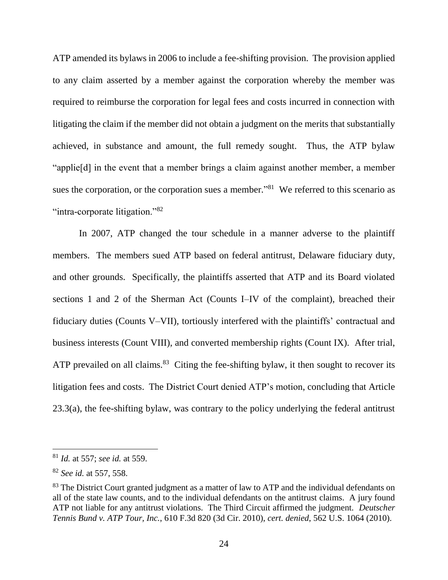ATP amended its bylaws in 2006 to include a fee-shifting provision. The provision applied to any claim asserted by a member against the corporation whereby the member was required to reimburse the corporation for legal fees and costs incurred in connection with litigating the claim if the member did not obtain a judgment on the merits that substantially achieved, in substance and amount, the full remedy sought. Thus, the ATP bylaw "applie[d] in the event that a member brings a claim against another member, a member sues the corporation, or the corporation sues a member.<sup>81</sup> We referred to this scenario as "intra-corporate litigation."<sup>82</sup>

In 2007, ATP changed the tour schedule in a manner adverse to the plaintiff members. The members sued ATP based on federal antitrust, Delaware fiduciary duty, and other grounds. Specifically, the plaintiffs asserted that ATP and its Board violated sections 1 and 2 of the Sherman Act (Counts I–IV of the complaint), breached their fiduciary duties (Counts V–VII), tortiously interfered with the plaintiffs' contractual and business interests (Count VIII), and converted membership rights (Count IX). After trial, ATP prevailed on all claims. $83$  Citing the fee-shifting bylaw, it then sought to recover its litigation fees and costs. The District Court denied ATP's motion, concluding that Article 23.3(a), the fee-shifting bylaw, was contrary to the policy underlying the federal antitrust

<sup>81</sup> *Id.* at 557; *see id.* at 559.

<sup>82</sup> *See id.* at 557, 558.

<sup>&</sup>lt;sup>83</sup> The District Court granted judgment as a matter of law to ATP and the individual defendants on all of the state law counts, and to the individual defendants on the antitrust claims. A jury found ATP not liable for any antitrust violations. The Third Circuit affirmed the judgment. *Deutscher Tennis Bund v. ATP Tour, Inc.*, 610 F.3d 820 (3d Cir. 2010), *cert. denied*, 562 U.S. 1064 (2010).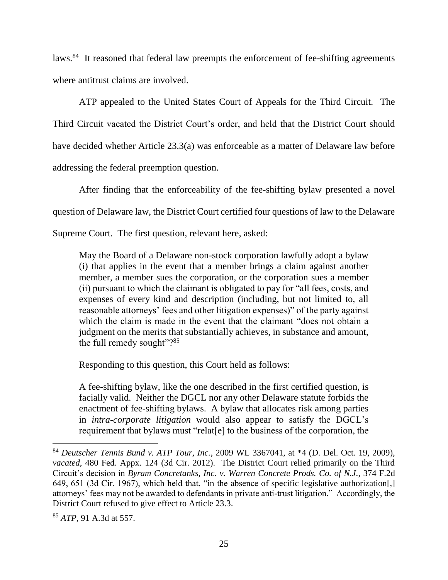laws.<sup>84</sup> It reasoned that federal law preempts the enforcement of fee-shifting agreements where antitrust claims are involved.

ATP appealed to the United States Court of Appeals for the Third Circuit. The Third Circuit vacated the District Court's order, and held that the District Court should have decided whether Article 23.3(a) was enforceable as a matter of Delaware law before addressing the federal preemption question.

After finding that the enforceability of the fee-shifting bylaw presented a novel question of Delaware law, the District Court certified four questions of law to the Delaware

Supreme Court. The first question, relevant here, asked:

May the Board of a Delaware non-stock corporation lawfully adopt a bylaw (i) that applies in the event that a member brings a claim against another member, a member sues the corporation, or the corporation sues a member (ii) pursuant to which the claimant is obligated to pay for "all fees, costs, and expenses of every kind and description (including, but not limited to, all reasonable attorneys' fees and other litigation expenses)" of the party against which the claim is made in the event that the claimant "does not obtain a judgment on the merits that substantially achieves, in substance and amount, the full remedy sought"?<sup>85</sup>

Responding to this question, this Court held as follows:

A fee-shifting bylaw, like the one described in the first certified question, is facially valid. Neither the DGCL nor any other Delaware statute forbids the enactment of fee-shifting bylaws. A bylaw that allocates risk among parties in *intra-corporate litigation* would also appear to satisfy the DGCL's requirement that bylaws must "relat[e] to the business of the corporation, the

<sup>84</sup> *Deutscher Tennis Bund v. ATP Tour, Inc.*, 2009 WL 3367041, at \*4 (D. Del. Oct. 19, 2009), *vacated*, 480 Fed. Appx. 124 (3d Cir. 2012). The District Court relied primarily on the Third Circuit's decision in *Byram Concretanks, Inc. v. Warren Concrete Prods. Co. of N.J.*, 374 F.2d 649, 651 (3d Cir. 1967), which held that, "in the absence of specific legislative authorization[,] attorneys' fees may not be awarded to defendants in private anti-trust litigation." Accordingly, the District Court refused to give effect to Article 23.3.

<sup>85</sup> *ATP*, 91 A.3d at 557.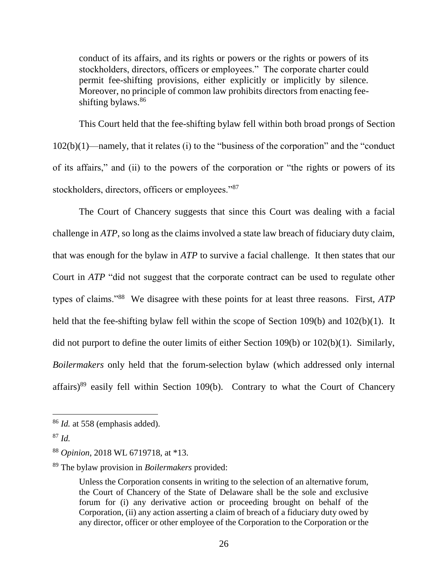conduct of its affairs, and its rights or powers or the rights or powers of its stockholders, directors, officers or employees." The corporate charter could permit fee-shifting provisions, either explicitly or implicitly by silence. Moreover, no principle of common law prohibits directors from enacting feeshifting bylaws. 86

This Court held that the fee-shifting bylaw fell within both broad prongs of Section 102(b)(1)—namely, that it relates (i) to the "business of the corporation" and the "conduct of its affairs," and (ii) to the powers of the corporation or "the rights or powers of its stockholders, directors, officers or employees."<sup>87</sup>

The Court of Chancery suggests that since this Court was dealing with a facial challenge in *ATP*, so long as the claims involved a state law breach of fiduciary duty claim, that was enough for the bylaw in *ATP* to survive a facial challenge. It then states that our Court in *ATP* "did not suggest that the corporate contract can be used to regulate other types of claims."<sup>88</sup> We disagree with these points for at least three reasons. First, *ATP* held that the fee-shifting bylaw fell within the scope of Section 109(b) and 102(b)(1). It did not purport to define the outer limits of either Section 109(b) or 102(b)(1). Similarly, *Boilermakers* only held that the forum-selection bylaw (which addressed only internal affairs) $89$  easily fell within Section 109(b). Contrary to what the Court of Chancery

<sup>86</sup> *Id.* at 558 (emphasis added).

<sup>87</sup> *Id.*

<sup>88</sup> *Opinion*, 2018 WL 6719718, at \*13.

<sup>89</sup> The bylaw provision in *Boilermakers* provided:

Unless the Corporation consents in writing to the selection of an alternative forum, the Court of Chancery of the State of Delaware shall be the sole and exclusive forum for (i) any derivative action or proceeding brought on behalf of the Corporation, (ii) any action asserting a claim of breach of a fiduciary duty owed by any director, officer or other employee of the Corporation to the Corporation or the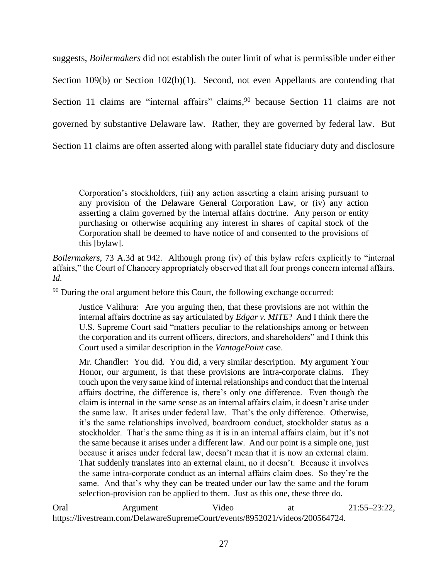suggests, *Boilermakers* did not establish the outer limit of what is permissible under either Section 109(b) or Section 102(b)(1). Second, not even Appellants are contending that Section 11 claims are "internal affairs" claims, <sup>90</sup> because Section 11 claims are not governed by substantive Delaware law. Rather, they are governed by federal law. But Section 11 claims are often asserted along with parallel state fiduciary duty and disclosure

<sup>90</sup> During the oral argument before this Court, the following exchange occurred:

 $\overline{a}$ 

Oral Argument Video at 21:55–23:22, https://livestream.com/DelawareSupremeCourt/events/8952021/videos/200564724.

Corporation's stockholders, (iii) any action asserting a claim arising pursuant to any provision of the Delaware General Corporation Law, or (iv) any action asserting a claim governed by the internal affairs doctrine. Any person or entity purchasing or otherwise acquiring any interest in shares of capital stock of the Corporation shall be deemed to have notice of and consented to the provisions of this [bylaw].

*Boilermakers*, 73 A.3d at 942. Although prong (iv) of this bylaw refers explicitly to "internal affairs," the Court of Chancery appropriately observed that all four prongs concern internal affairs. *Id.* 

Justice Valihura: Are you arguing then, that these provisions are not within the internal affairs doctrine as say articulated by *Edgar v. MITE*? And I think there the U.S. Supreme Court said "matters peculiar to the relationships among or between the corporation and its current officers, directors, and shareholders" and I think this Court used a similar description in the *VantagePoint* case.

Mr. Chandler: You did. You did, a very similar description. My argument Your Honor, our argument, is that these provisions are intra-corporate claims. They touch upon the very same kind of internal relationships and conduct that the internal affairs doctrine, the difference is, there's only one difference. Even though the claim is internal in the same sense as an internal affairs claim, it doesn't arise under the same law. It arises under federal law. That's the only difference. Otherwise, it's the same relationships involved, boardroom conduct, stockholder status as a stockholder. That's the same thing as it is in an internal affairs claim, but it's not the same because it arises under a different law. And our point is a simple one, just because it arises under federal law, doesn't mean that it is now an external claim. That suddenly translates into an external claim, no it doesn't. Because it involves the same intra-corporate conduct as an internal affairs claim does. So they're the same. And that's why they can be treated under our law the same and the forum selection-provision can be applied to them. Just as this one, these three do.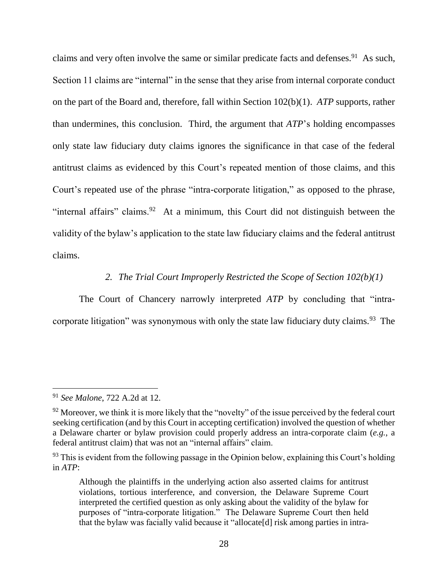claims and very often involve the same or similar predicate facts and defenses.<sup>91</sup> As such, Section 11 claims are "internal" in the sense that they arise from internal corporate conduct on the part of the Board and, therefore, fall within Section 102(b)(1). *ATP* supports, rather than undermines, this conclusion. Third, the argument that *ATP*'s holding encompasses only state law fiduciary duty claims ignores the significance in that case of the federal antitrust claims as evidenced by this Court's repeated mention of those claims, and this Court's repeated use of the phrase "intra-corporate litigation," as opposed to the phrase, "internal affairs" claims.<sup>92</sup> At a minimum, this Court did not distinguish between the validity of the bylaw's application to the state law fiduciary claims and the federal antitrust claims.

### *2. The Trial Court Improperly Restricted the Scope of Section 102(b)(1)*

The Court of Chancery narrowly interpreted *ATP* by concluding that "intracorporate litigation" was synonymous with only the state law fiduciary duty claims.<sup>93</sup> The

<sup>91</sup> *See Malone*, 722 A.2d at 12.

 $92$  Moreover, we think it is more likely that the "novelty" of the issue perceived by the federal court seeking certification (and by this Court in accepting certification) involved the question of whether a Delaware charter or bylaw provision could properly address an intra-corporate claim (*e.g.*, a federal antitrust claim) that was not an "internal affairs" claim.

 $93$  This is evident from the following passage in the Opinion below, explaining this Court's holding in *ATP*:

Although the plaintiffs in the underlying action also asserted claims for antitrust violations, tortious interference, and conversion, the Delaware Supreme Court interpreted the certified question as only asking about the validity of the bylaw for purposes of "intra-corporate litigation." The Delaware Supreme Court then held that the bylaw was facially valid because it "allocate[d] risk among parties in intra-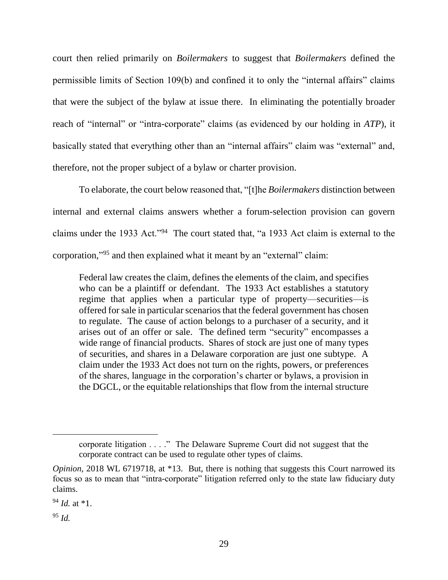court then relied primarily on *Boilermakers* to suggest that *Boilermakers* defined the permissible limits of Section 109(b) and confined it to only the "internal affairs" claims that were the subject of the bylaw at issue there. In eliminating the potentially broader reach of "internal" or "intra-corporate" claims (as evidenced by our holding in *ATP*), it basically stated that everything other than an "internal affairs" claim was "external" and, therefore, not the proper subject of a bylaw or charter provision.

To elaborate, the court below reasoned that, "[t]he *Boilermakers* distinction between internal and external claims answers whether a forum-selection provision can govern claims under the 1933 Act."<sup>94</sup> The court stated that, "a 1933 Act claim is external to the corporation," <sup>95</sup> and then explained what it meant by an "external" claim:

Federal law creates the claim, defines the elements of the claim, and specifies who can be a plaintiff or defendant. The 1933 Act establishes a statutory regime that applies when a particular type of property—securities—is offered for sale in particular scenarios that the federal government has chosen to regulate. The cause of action belongs to a purchaser of a security, and it arises out of an offer or sale. The defined term "security" encompasses a wide range of financial products. Shares of stock are just one of many types of securities, and shares in a Delaware corporation are just one subtype. A claim under the 1933 Act does not turn on the rights, powers, or preferences of the shares, language in the corporation's charter or bylaws, a provision in the DGCL, or the equitable relationships that flow from the internal structure

<sup>95</sup> *Id.*

corporate litigation . . . ." The Delaware Supreme Court did not suggest that the corporate contract can be used to regulate other types of claims.

*Opinion*, 2018 WL 6719718, at \*13. But, there is nothing that suggests this Court narrowed its focus so as to mean that "intra-corporate" litigation referred only to the state law fiduciary duty claims.

 $94$  *Id.* at  $*1$ .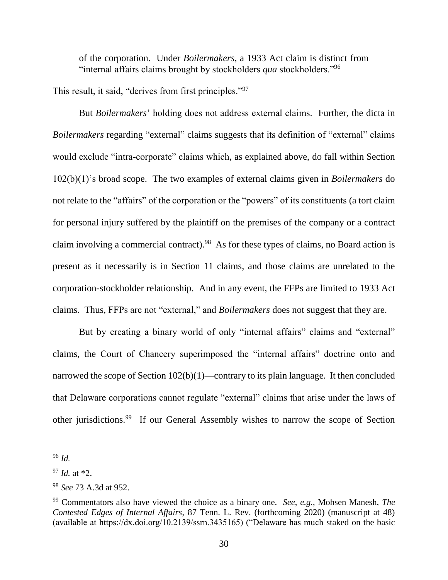of the corporation. Under *Boilermakers*, a 1933 Act claim is distinct from "internal affairs claims brought by stockholders *qua* stockholders."<sup>96</sup>

This result, it said, "derives from first principles."<sup>97</sup>

But *Boilermakers*' holding does not address external claims. Further, the dicta in *Boilermakers* regarding "external" claims suggests that its definition of "external" claims would exclude "intra-corporate" claims which, as explained above, do fall within Section 102(b)(1)'s broad scope. The two examples of external claims given in *Boilermakers* do not relate to the "affairs" of the corporation or the "powers" of its constituents (a tort claim for personal injury suffered by the plaintiff on the premises of the company or a contract claim involving a commercial contract). 98 As for these types of claims, no Board action is present as it necessarily is in Section 11 claims, and those claims are unrelated to the corporation-stockholder relationship. And in any event, the FFPs are limited to 1933 Act claims. Thus, FFPs are not "external," and *Boilermakers* does not suggest that they are.

But by creating a binary world of only "internal affairs" claims and "external" claims, the Court of Chancery superimposed the "internal affairs" doctrine onto and narrowed the scope of Section 102(b)(1)—contrary to its plain language. It then concluded that Delaware corporations cannot regulate "external" claims that arise under the laws of other jurisdictions.<sup>99</sup> If our General Assembly wishes to narrow the scope of Section

<sup>96</sup> *Id.* 

<sup>97</sup> *Id.* at \*2.

<sup>98</sup> *See* 73 A.3d at 952.

<sup>99</sup> Commentators also have viewed the choice as a binary one. *See*, *e.g.*, Mohsen Manesh, *The Contested Edges of Internal Affairs*, 87 Tenn. L. Rev. (forthcoming 2020) (manuscript at 48) (available at https://dx.doi.org/10.2139/ssrn.3435165) ("Delaware has much staked on the basic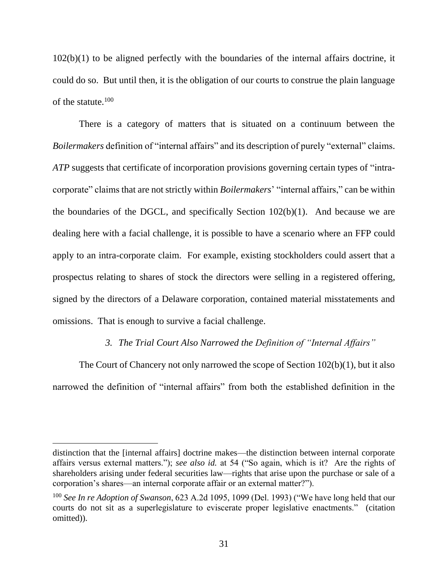102(b)(1) to be aligned perfectly with the boundaries of the internal affairs doctrine, it could do so. But until then, it is the obligation of our courts to construe the plain language of the statute.<sup>100</sup>

There is a category of matters that is situated on a continuum between the *Boilermakers* definition of "internal affairs" and its description of purely "external" claims. *ATP* suggests that certificate of incorporation provisions governing certain types of "intracorporate" claims that are not strictly within *Boilermakers*' "internal affairs," can be within the boundaries of the DGCL, and specifically Section  $102(b)(1)$ . And because we are dealing here with a facial challenge, it is possible to have a scenario where an FFP could apply to an intra-corporate claim. For example, existing stockholders could assert that a prospectus relating to shares of stock the directors were selling in a registered offering, signed by the directors of a Delaware corporation, contained material misstatements and omissions. That is enough to survive a facial challenge.

#### *3. The Trial Court Also Narrowed the Definition of "Internal Affairs"*

The Court of Chancery not only narrowed the scope of Section 102(b)(1), but it also narrowed the definition of "internal affairs" from both the established definition in the

distinction that the [internal affairs] doctrine makes—the distinction between internal corporate affairs versus external matters."); *see also id.* at 54 ("So again, which is it? Are the rights of shareholders arising under federal securities law—rights that arise upon the purchase or sale of a corporation's shares—an internal corporate affair or an external matter?").

<sup>100</sup> *See In re Adoption of Swanson*, 623 A.2d 1095, 1099 (Del. 1993) ("We have long held that our courts do not sit as a superlegislature to eviscerate proper legislative enactments." (citation omitted)).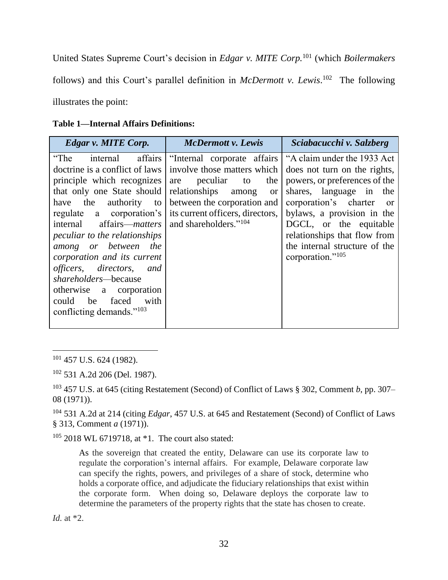United States Supreme Court's decision in *Edgar v. MITE Corp.*<sup>101</sup> (which *Boilermakers*  follows) and this Court's parallel definition in *McDermott v. Lewis*. 102 The following illustrates the point:

| <b>Table 1—Internal Affairs Definitions:</b> |  |  |  |  |
|----------------------------------------------|--|--|--|--|
|----------------------------------------------|--|--|--|--|

| <b>Edgar v. MITE Corp.</b>                                                                                                                                                                                                                                                                                                                                                                                                                                                  | <b>McDermott v. Lewis</b>                                                                                                                                                                                                                  | Sciabacucchi v. Salzberg                                                                                                                                                                                                                                                                                        |
|-----------------------------------------------------------------------------------------------------------------------------------------------------------------------------------------------------------------------------------------------------------------------------------------------------------------------------------------------------------------------------------------------------------------------------------------------------------------------------|--------------------------------------------------------------------------------------------------------------------------------------------------------------------------------------------------------------------------------------------|-----------------------------------------------------------------------------------------------------------------------------------------------------------------------------------------------------------------------------------------------------------------------------------------------------------------|
| internal affairs<br>"The<br>doctrine is a conflict of laws<br>principle which recognizes<br>that only one State should<br>authority<br>have the<br>to<br>regulate a corporation's<br>internal affairs— <i>matters</i><br><i>peculiar to the relationships</i><br>among or between the<br>corporation and its current<br>officers, directors, and<br>shareholders-because<br>otherwise a corporation<br>faced<br>could<br>be<br>with<br>conflicting demands." <sup>103</sup> | "Internal corporate affairs"<br>involve those matters which<br>peculiar<br>to<br>the<br>are<br>relationships<br>among<br><b>or</b><br>between the corporation and<br>its current officers, directors,<br>and shareholders." <sup>104</sup> | "A claim under the 1933 Act<br>does not turn on the rights,<br>powers, or preferences of the<br>shares, language in the<br>corporation's charter<br>or<br>bylaws, a provision in the<br>DGCL, or the equitable<br>relationships that flow from<br>the internal structure of the<br>corporation." <sup>105</sup> |

<sup>101</sup> 457 U.S. 624 (1982).

 $\overline{a}$ 

<sup>102</sup> 531 A.2d 206 (Del. 1987).

<sup>103</sup> 457 U.S. at 645 (citing Restatement (Second) of Conflict of Laws § 302, Comment *b*, pp. 307– 08 (1971)).

<sup>104</sup> 531 A.2d at 214 (citing *Edgar*, 457 U.S. at 645 and Restatement (Second) of Conflict of Laws § 313, Comment *a* (1971)).

 $105$  2018 WL 6719718, at  $*1$ . The court also stated:

As the sovereign that created the entity, Delaware can use its corporate law to regulate the corporation's internal affairs. For example, Delaware corporate law can specify the rights, powers, and privileges of a share of stock, determine who holds a corporate office, and adjudicate the fiduciary relationships that exist within the corporate form. When doing so, Delaware deploys the corporate law to determine the parameters of the property rights that the state has chosen to create.

*Id.* at \*2.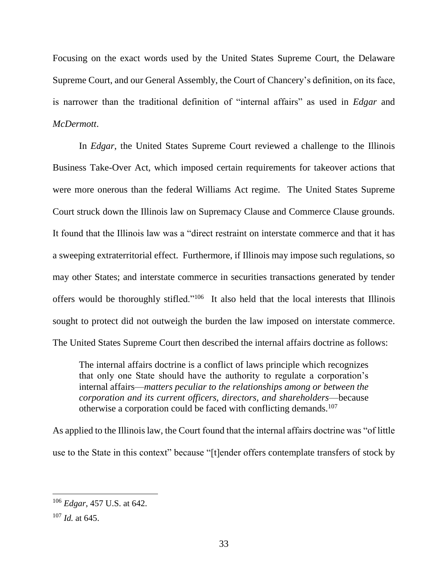Focusing on the exact words used by the United States Supreme Court, the Delaware Supreme Court, and our General Assembly, the Court of Chancery's definition, on its face, is narrower than the traditional definition of "internal affairs" as used in *Edgar* and *McDermott*.

In *Edgar*, the United States Supreme Court reviewed a challenge to the Illinois Business Take-Over Act, which imposed certain requirements for takeover actions that were more onerous than the federal Williams Act regime. The United States Supreme Court struck down the Illinois law on Supremacy Clause and Commerce Clause grounds. It found that the Illinois law was a "direct restraint on interstate commerce and that it has a sweeping extraterritorial effect. Furthermore, if Illinois may impose such regulations, so may other States; and interstate commerce in securities transactions generated by tender offers would be thoroughly stifled."<sup>106</sup> It also held that the local interests that Illinois sought to protect did not outweigh the burden the law imposed on interstate commerce. The United States Supreme Court then described the internal affairs doctrine as follows:

The internal affairs doctrine is a conflict of laws principle which recognizes that only one State should have the authority to regulate a corporation's internal affairs—*matters peculiar to the relationships among or between the corporation and its current officers, directors, and shareholders*—because otherwise a corporation could be faced with conflicting demands.<sup>107</sup>

As applied to the Illinois law, the Court found that the internal affairs doctrine was "of little use to the State in this context" because "[t]ender offers contemplate transfers of stock by

<sup>106</sup> *Edgar*, 457 U.S. at 642.

<sup>107</sup> *Id.* at 645.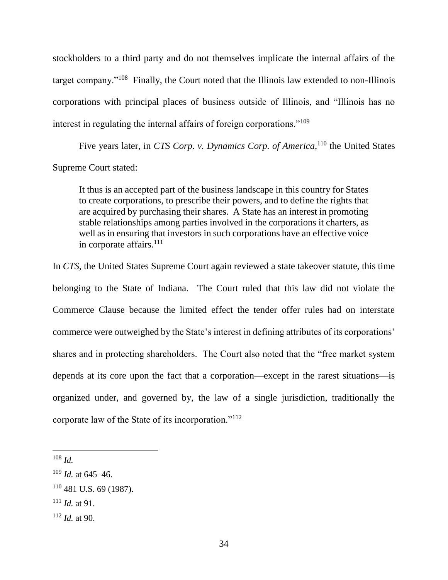stockholders to a third party and do not themselves implicate the internal affairs of the target company."<sup>108</sup> Finally, the Court noted that the Illinois law extended to non-Illinois corporations with principal places of business outside of Illinois, and "Illinois has no interest in regulating the internal affairs of foreign corporations."<sup>109</sup>

Five years later, in *CTS Corp. v. Dynamics Corp. of America*,<sup>110</sup> the United States Supreme Court stated:

It thus is an accepted part of the business landscape in this country for States to create corporations, to prescribe their powers, and to define the rights that are acquired by purchasing their shares. A State has an interest in promoting stable relationships among parties involved in the corporations it charters, as well as in ensuring that investors in such corporations have an effective voice in corporate affairs.<sup>111</sup>

In *CTS*, the United States Supreme Court again reviewed a state takeover statute, this time belonging to the State of Indiana. The Court ruled that this law did not violate the Commerce Clause because the limited effect the tender offer rules had on interstate commerce were outweighed by the State's interest in defining attributes of its corporations' shares and in protecting shareholders. The Court also noted that the "free market system depends at its core upon the fact that a corporation—except in the rarest situations—is organized under, and governed by, the law of a single jurisdiction, traditionally the corporate law of the State of its incorporation."<sup>112</sup>

<sup>108</sup> *Id.*

<sup>109</sup> *Id.* at 645–46.

<sup>110</sup> 481 U.S. 69 (1987).

<sup>111</sup> *Id.* at 91.

<sup>112</sup> *Id.* at 90.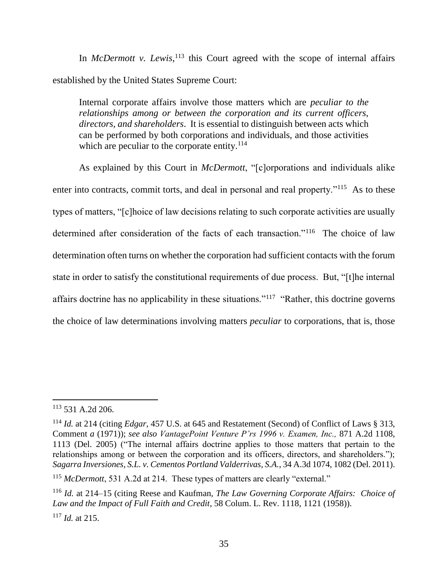In *McDermott v. Lewis*,<sup>113</sup> this Court agreed with the scope of internal affairs established by the United States Supreme Court:

Internal corporate affairs involve those matters which are *peculiar to the relationships among or between the corporation and its current officers, directors, and shareholders*. It is essential to distinguish between acts which can be performed by both corporations and individuals, and those activities which are peculiar to the corporate entity.<sup>114</sup>

As explained by this Court in *McDermott*, "[c]orporations and individuals alike enter into contracts, commit torts, and deal in personal and real property."<sup>115</sup> As to these types of matters, "[c]hoice of law decisions relating to such corporate activities are usually determined after consideration of the facts of each transaction."<sup>116</sup> The choice of law determination often turns on whether the corporation had sufficient contacts with the forum state in order to satisfy the constitutional requirements of due process. But, "[t]he internal affairs doctrine has no applicability in these situations."<sup>117</sup> "Rather, this doctrine governs the choice of law determinations involving matters *peculiar* to corporations, that is, those

<sup>113</sup> 531 A.2d 206.

<sup>114</sup> *Id.* at 214 (citing *Edgar*, 457 U.S. at 645 and Restatement (Second) of Conflict of Laws § 313, Comment *a* (1971)); *see also VantagePoint Venture P'rs 1996 v. Examen, Inc.,* 871 A.2d 1108, 1113 (Del. 2005) ("The internal affairs doctrine applies to those matters that pertain to the relationships among or between the corporation and its officers, directors, and shareholders."); *Sagarra Inversiones, S.L. v. Cementos Portland Valderrivas, S.A.*, 34 A.3d 1074, 1082 (Del. 2011).

<sup>&</sup>lt;sup>115</sup> *McDermott*, 531 A.2d at 214. These types of matters are clearly "external."

<sup>116</sup> *Id.* at 214–15 (citing Reese and Kaufman, *The Law Governing Corporate Affairs: Choice of Law and the Impact of Full Faith and Credit*, 58 Colum. L. Rev. 1118, 1121 (1958)). <sup>117</sup> *Id.* at 215.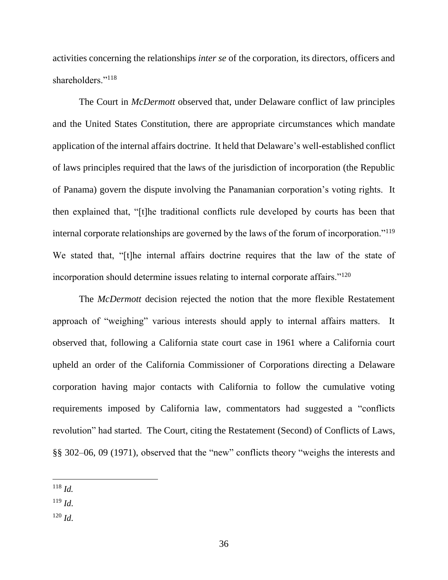activities concerning the relationships *inter se* of the corporation, its directors, officers and shareholders."<sup>118</sup>

The Court in *McDermott* observed that, under Delaware conflict of law principles and the United States Constitution, there are appropriate circumstances which mandate application of the internal affairs doctrine. It held that Delaware's well-established conflict of laws principles required that the laws of the jurisdiction of incorporation (the Republic of Panama) govern the dispute involving the Panamanian corporation's voting rights. It then explained that, "[t]he traditional conflicts rule developed by courts has been that internal corporate relationships are governed by the laws of the forum of incorporation."<sup>119</sup> We stated that, "[t]he internal affairs doctrine requires that the law of the state of incorporation should determine issues relating to internal corporate affairs."<sup>120</sup>

The *McDermott* decision rejected the notion that the more flexible Restatement approach of "weighing" various interests should apply to internal affairs matters. It observed that, following a California state court case in 1961 where a California court upheld an order of the California Commissioner of Corporations directing a Delaware corporation having major contacts with California to follow the cumulative voting requirements imposed by California law, commentators had suggested a "conflicts revolution" had started. The Court, citing the Restatement (Second) of Conflicts of Laws, §§ 302–06, 09 (1971), observed that the "new" conflicts theory "weighs the interests and

- <sup>119</sup> *Id*.
- $120$  *Id*.

 <sup>118</sup> *Id.*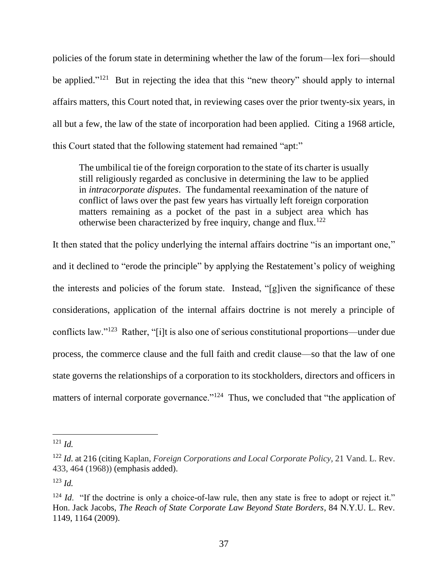policies of the forum state in determining whether the law of the forum—lex fori—should be applied."<sup>121</sup> But in rejecting the idea that this "new theory" should apply to internal affairs matters, this Court noted that, in reviewing cases over the prior twenty-six years, in all but a few, the law of the state of incorporation had been applied. Citing a 1968 article, this Court stated that the following statement had remained "apt:"

The umbilical tie of the foreign corporation to the state of its charter is usually still religiously regarded as conclusive in determining the law to be applied in *intracorporate disputes*. The fundamental reexamination of the nature of conflict of laws over the past few years has virtually left foreign corporation matters remaining as a pocket of the past in a subject area which has otherwise been characterized by free inquiry, change and flux.<sup>122</sup>

It then stated that the policy underlying the internal affairs doctrine "is an important one," and it declined to "erode the principle" by applying the Restatement's policy of weighing the interests and policies of the forum state. Instead, "[g]iven the significance of these considerations, application of the internal affairs doctrine is not merely a principle of conflicts law."<sup>123</sup> Rather, "[i]t is also one of serious constitutional proportions—under due process, the commerce clause and the full faith and credit clause—so that the law of one state governs the relationships of a corporation to its stockholders, directors and officers in matters of internal corporate governance."<sup>124</sup> Thus, we concluded that "the application of

<sup>123</sup> *Id.*

 <sup>121</sup> *Id.*

<sup>122</sup> *Id*. at 216 (citing Kaplan, *Foreign Corporations and Local Corporate Policy,* 21 Vand. L. Rev. 433, 464 (1968)) (emphasis added).

<sup>&</sup>lt;sup>124</sup> *Id.* "If the doctrine is only a choice-of-law rule, then any state is free to adopt or reject it." Hon. Jack Jacobs, *The Reach of State Corporate Law Beyond State Borders*, 84 N.Y.U. L. Rev. 1149, 1164 (2009).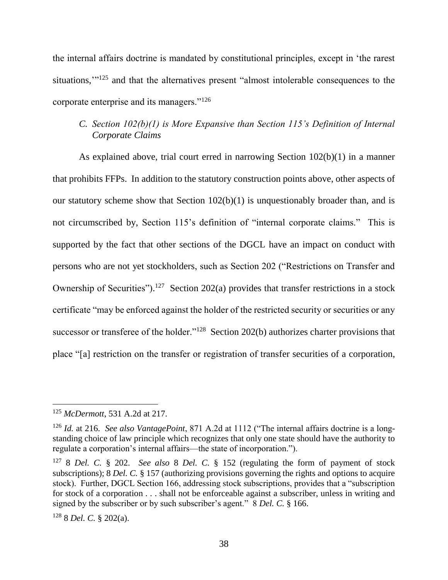the internal affairs doctrine is mandated by constitutional principles, except in 'the rarest situations,"<sup>125</sup> and that the alternatives present "almost intolerable consequences to the corporate enterprise and its managers."<sup>126</sup>

## *C. Section 102(b)(1) is More Expansive than Section 115's Definition of Internal Corporate Claims*

As explained above, trial court erred in narrowing Section 102(b)(1) in a manner that prohibits FFPs. In addition to the statutory construction points above, other aspects of our statutory scheme show that Section 102(b)(1) is unquestionably broader than, and is not circumscribed by, Section 115's definition of "internal corporate claims." This is supported by the fact that other sections of the DGCL have an impact on conduct with persons who are not yet stockholders, such as Section 202 ("Restrictions on Transfer and Ownership of Securities").<sup>127</sup> Section 202(a) provides that transfer restrictions in a stock certificate "may be enforced against the holder of the restricted security or securities or any successor or transferee of the holder."<sup>128</sup> Section 202(b) authorizes charter provisions that place "[a] restriction on the transfer or registration of transfer securities of a corporation,

 $\overline{a}$ 

<sup>128</sup> 8 *Del. C.* § 202(a).

<sup>125</sup> *McDermott*, 531 A.2d at 217.

<sup>126</sup> *Id.* at 216. *See also VantagePoint*, 871 A.2d at 1112 ("The internal affairs doctrine is a longstanding choice of law principle which recognizes that only one state should have the authority to regulate a corporation's internal affairs—the state of incorporation.").

<sup>127</sup> 8 *Del. C.* § 202. *See also* 8 *Del. C.* § 152 (regulating the form of payment of stock subscriptions); 8 *Del. C.* § 157 (authorizing provisions governing the rights and options to acquire stock). Further, DGCL Section 166, addressing stock subscriptions, provides that a "subscription for stock of a corporation . . . shall not be enforceable against a subscriber, unless in writing and signed by the subscriber or by such subscriber's agent." 8 *Del. C.* § 166.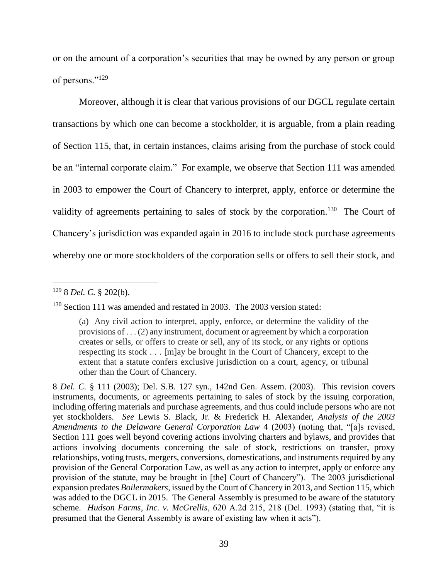or on the amount of a corporation's securities that may be owned by any person or group of persons."<sup>129</sup>

Moreover, although it is clear that various provisions of our DGCL regulate certain transactions by which one can become a stockholder, it is arguable, from a plain reading of Section 115, that, in certain instances, claims arising from the purchase of stock could be an "internal corporate claim." For example, we observe that Section 111 was amended in 2003 to empower the Court of Chancery to interpret, apply, enforce or determine the validity of agreements pertaining to sales of stock by the corporation.<sup>130</sup> The Court of Chancery's jurisdiction was expanded again in 2016 to include stock purchase agreements whereby one or more stockholders of the corporation sells or offers to sell their stock, and

<sup>129</sup> 8 *Del. C.* § 202(b).

<sup>&</sup>lt;sup>130</sup> Section 111 was amended and restated in 2003. The 2003 version stated:

<sup>(</sup>a) Any civil action to interpret, apply, enforce, or determine the validity of the provisions of . . . (2) any instrument, document or agreement by which a corporation creates or sells, or offers to create or sell, any of its stock, or any rights or options respecting its stock . . . [m]ay be brought in the Court of Chancery, except to the extent that a statute confers exclusive jurisdiction on a court, agency, or tribunal other than the Court of Chancery.

<sup>8</sup> *Del. C.* § 111 (2003); Del. S.B. 127 syn., 142nd Gen. Assem. (2003). This revision covers instruments, documents, or agreements pertaining to sales of stock by the issuing corporation, including offering materials and purchase agreements, and thus could include persons who are not yet stockholders. *See* Lewis S. Black, Jr. & Frederick H. Alexander, *Analysis of the 2003 Amendments to the Delaware General Corporation Law* 4 (2003) (noting that, "[a]s revised, Section 111 goes well beyond covering actions involving charters and bylaws, and provides that actions involving documents concerning the sale of stock, restrictions on transfer, proxy relationships, voting trusts, mergers, conversions, domestications, and instruments required by any provision of the General Corporation Law, as well as any action to interpret, apply or enforce any provision of the statute, may be brought in [the] Court of Chancery"). The 2003 jurisdictional expansion predates *Boilermakers*, issued by the Court of Chancery in 2013, and Section 115, which was added to the DGCL in 2015. The General Assembly is presumed to be aware of the statutory scheme. *Hudson Farms, Inc. v. McGrellis*, 620 A.2d 215, 218 (Del. 1993) (stating that, "it is presumed that the General Assembly is aware of existing law when it acts").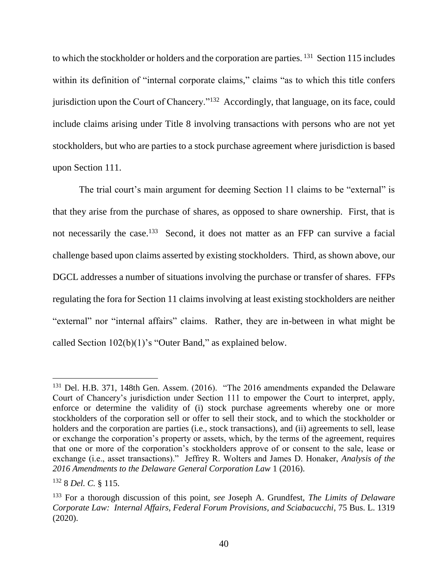to which the stockholder or holders and the corporation are parties. <sup>131</sup> Section 115 includes within its definition of "internal corporate claims," claims "as to which this title confers jurisdiction upon the Court of Chancery."<sup>132</sup> Accordingly, that language, on its face, could include claims arising under Title 8 involving transactions with persons who are not yet stockholders, but who are parties to a stock purchase agreement where jurisdiction is based upon Section 111.

The trial court's main argument for deeming Section 11 claims to be "external" is that they arise from the purchase of shares, as opposed to share ownership. First, that is not necessarily the case.<sup>133</sup> Second, it does not matter as an FFP can survive a facial challenge based upon claims asserted by existing stockholders. Third, as shown above, our DGCL addresses a number of situations involving the purchase or transfer of shares. FFPs regulating the fora for Section 11 claims involving at least existing stockholders are neither "external" nor "internal affairs" claims. Rather, they are in-between in what might be called Section 102(b)(1)'s "Outer Band," as explained below.

<sup>&</sup>lt;sup>131</sup> Del. H.B. 371, 148th Gen. Assem. (2016). "The 2016 amendments expanded the Delaware Court of Chancery's jurisdiction under Section 111 to empower the Court to interpret, apply, enforce or determine the validity of (i) stock purchase agreements whereby one or more stockholders of the corporation sell or offer to sell their stock, and to which the stockholder or holders and the corporation are parties (i.e., stock transactions), and (ii) agreements to sell, lease or exchange the corporation's property or assets, which, by the terms of the agreement, requires that one or more of the corporation's stockholders approve of or consent to the sale, lease or exchange (i.e., asset transactions)." Jeffrey R. Wolters and James D. Honaker, *Analysis of the 2016 Amendments to the Delaware General Corporation Law* 1 (2016).

<sup>132</sup> 8 *Del. C.* § 115.

<sup>133</sup> For a thorough discussion of this point, *see* Joseph A. Grundfest, *The Limits of Delaware Corporate Law: Internal Affairs, Federal Forum Provisions, and Sciabacucchi*, 75 Bus. L. 1319 (2020).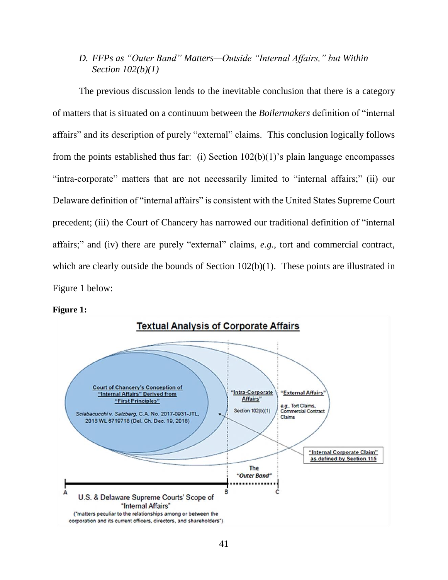## *D. FFPs as "Outer Band" Matters—Outside "Internal Affairs," but Within Section 102(b)(1)*

The previous discussion lends to the inevitable conclusion that there is a category of matters that is situated on a continuum between the *Boilermakers* definition of "internal affairs" and its description of purely "external" claims. This conclusion logically follows from the points established thus far: (i) Section  $102(b)(1)$ 's plain language encompasses "intra-corporate" matters that are not necessarily limited to "internal affairs;" (ii) our Delaware definition of "internal affairs" is consistent with the United States Supreme Court precedent; (iii) the Court of Chancery has narrowed our traditional definition of "internal affairs;" and (iv) there are purely "external" claims, *e.g.*, tort and commercial contract, which are clearly outside the bounds of Section 102(b)(1). These points are illustrated in Figure 1 below:



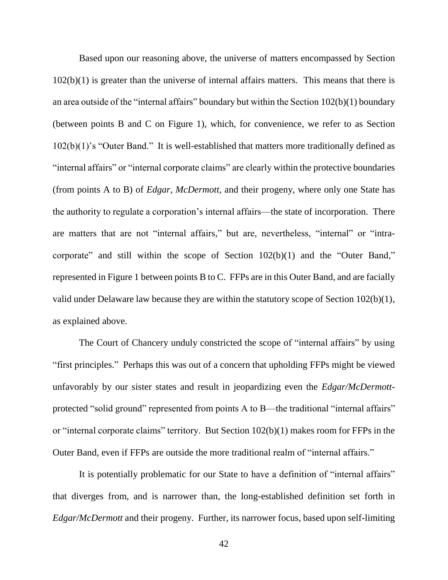Based upon our reasoning above, the universe of matters encompassed by Section  $102(b)(1)$  is greater than the universe of internal affairs matters. This means that there is an area outside of the "internal affairs" boundary but within the Section 102(b)(1) boundary (between points B and C on Figure 1), which, for convenience, we refer to as Section 102(b)(1)'s "Outer Band." It is well-established that matters more traditionally defined as "internal affairs" or "internal corporate claims" are clearly within the protective boundaries (from points A to B) of *Edgar*, *McDermott*, and their progeny, where only one State has the authority to regulate a corporation's internal affairs—the state of incorporation. There are matters that are not "internal affairs," but are, nevertheless, "internal" or "intracorporate" and still within the scope of Section 102(b)(1) and the "Outer Band," represented in Figure 1 between points B to C. FFPs are in this Outer Band, and are facially valid under Delaware law because they are within the statutory scope of Section 102(b)(1), as explained above.

The Court of Chancery unduly constricted the scope of "internal affairs" by using "first principles." Perhaps this was out of a concern that upholding FFPs might be viewed unfavorably by our sister states and result in jeopardizing even the *Edgar/McDermott*protected "solid ground" represented from points A to B—the traditional "internal affairs" or "internal corporate claims" territory. But Section 102(b)(1) makes room for FFPs in the Outer Band, even if FFPs are outside the more traditional realm of "internal affairs."

It is potentially problematic for our State to have a definition of "internal affairs" that diverges from, and is narrower than, the long-established definition set forth in *Edgar/McDermott* and their progeny. Further, its narrower focus, based upon self-limiting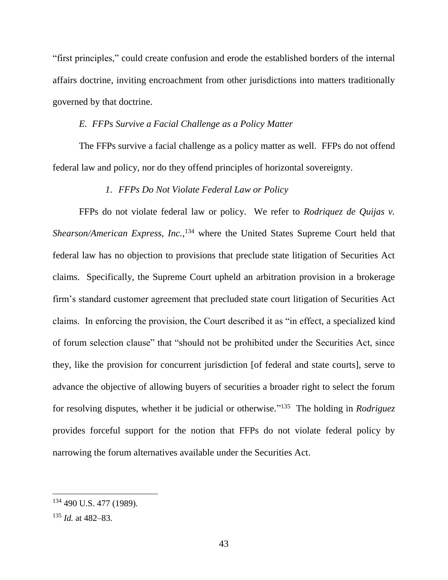"first principles," could create confusion and erode the established borders of the internal affairs doctrine, inviting encroachment from other jurisdictions into matters traditionally governed by that doctrine.

#### *E. FFPs Survive a Facial Challenge as a Policy Matter*

The FFPs survive a facial challenge as a policy matter as well. FFPs do not offend federal law and policy, nor do they offend principles of horizontal sovereignty.

#### *1. FFPs Do Not Violate Federal Law or Policy*

FFPs do not violate federal law or policy. We refer to *Rodriquez de Quijas v.*  Shearson/American *Express*, *Inc.*,<sup>134</sup> where the United States Supreme Court held that federal law has no objection to provisions that preclude state litigation of Securities Act claims. Specifically, the Supreme Court upheld an arbitration provision in a brokerage firm's standard customer agreement that precluded state court litigation of Securities Act claims. In enforcing the provision, the Court described it as "in effect, a specialized kind of forum selection clause" that "should not be prohibited under the Securities Act, since they, like the provision for concurrent jurisdiction [of federal and state courts], serve to advance the objective of allowing buyers of securities a broader right to select the forum for resolving disputes, whether it be judicial or otherwise." 135 The holding in *Rodriguez* provides forceful support for the notion that FFPs do not violate federal policy by narrowing the forum alternatives available under the Securities Act.

<sup>&</sup>lt;sup>134</sup> 490 U.S. 477 (1989).

<sup>135</sup> *Id.* at 482–83.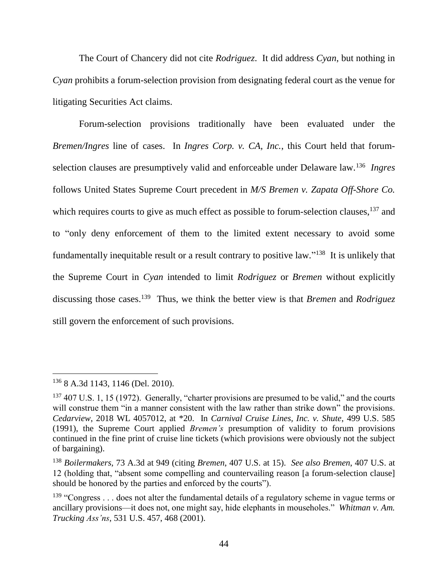The Court of Chancery did not cite *Rodriguez*. It did address *Cyan*, but nothing in *Cyan* prohibits a forum-selection provision from designating federal court as the venue for litigating Securities Act claims.

Forum-selection provisions traditionally have been evaluated under the *Bremen/Ingres* line of cases. In *Ingres Corp. v. CA, Inc.*, this Court held that forumselection clauses are presumptively valid and enforceable under Delaware law.<sup>136</sup> *Ingres* follows United States Supreme Court precedent in *M/S Bremen v. Zapata Off-Shore Co.* which requires courts to give as much effect as possible to forum-selection clauses, <sup>137</sup> and to "only deny enforcement of them to the limited extent necessary to avoid some fundamentally inequitable result or a result contrary to positive law."<sup>138</sup> It is unlikely that the Supreme Court in *Cyan* intended to limit *Rodriguez* or *Bremen* without explicitly discussing those cases.<sup>139</sup> Thus, we think the better view is that *Bremen* and *Rodriguez* still govern the enforcement of such provisions.

 <sup>136</sup> 8 A.3d 1143, 1146 (Del. 2010).

 $137$  407 U.S. 1, 15 (1972). Generally, "charter provisions are presumed to be valid," and the courts will construe them "in a manner consistent with the law rather than strike down" the provisions. *Cedarview*, 2018 WL 4057012, at \*20. In *Carnival Cruise Lines, Inc. v. Shute*, 499 U.S. 585 (1991), the Supreme Court applied *Bremen's* presumption of validity to forum provisions continued in the fine print of cruise line tickets (which provisions were obviously not the subject of bargaining).

<sup>138</sup> *Boilermakers*, 73 A.3d at 949 (citing *Bremen*, 407 U.S. at 15). *See also Bremen*, 407 U.S. at 12 (holding that, "absent some compelling and countervailing reason [a forum-selection clause] should be honored by the parties and enforced by the courts").

 $139$  "Congress ... does not alter the fundamental details of a regulatory scheme in vague terms or ancillary provisions—it does not, one might say, hide elephants in mouseholes." *Whitman v. Am. Trucking Ass'ns*, 531 U.S. 457, 468 (2001).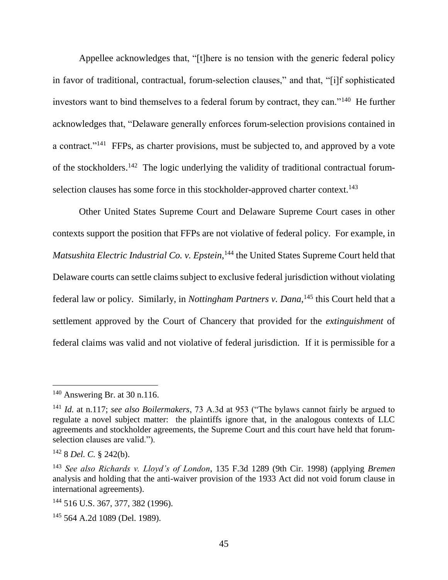Appellee acknowledges that, "[t]here is no tension with the generic federal policy in favor of traditional, contractual, forum-selection clauses," and that, "[i]f sophisticated investors want to bind themselves to a federal forum by contract, they can."<sup>140</sup> He further acknowledges that, "Delaware generally enforces forum-selection provisions contained in a contract."<sup>141</sup> FFPs, as charter provisions, must be subjected to, and approved by a vote of the stockholders.<sup>142</sup> The logic underlying the validity of traditional contractual forumselection clauses has some force in this stockholder-approved charter context.<sup>143</sup>

Other United States Supreme Court and Delaware Supreme Court cases in other contexts support the position that FFPs are not violative of federal policy. For example, in *Matsushita Electric Industrial Co. v. Epstein*, <sup>144</sup> the United States Supreme Court held that Delaware courts can settle claims subject to exclusive federal jurisdiction without violating federal law or policy. Similarly, in *Nottingham Partners v. Dana*,<sup>145</sup> this Court held that a settlement approved by the Court of Chancery that provided for the *extinguishment* of federal claims was valid and not violative of federal jurisdiction. If it is permissible for a

 $140$  Answering Br. at 30 n.116.

<sup>141</sup> *Id.* at n.117; *see also Boilermakers*, 73 A.3d at 953 ("The bylaws cannot fairly be argued to regulate a novel subject matter: the plaintiffs ignore that, in the analogous contexts of LLC agreements and stockholder agreements, the Supreme Court and this court have held that forumselection clauses are valid.").

<sup>142</sup> 8 *Del. C.* § 242(b).

<sup>143</sup> *See also Richards v. Lloyd's of London*, 135 F.3d 1289 (9th Cir. 1998) (applying *Bremen* analysis and holding that the anti-waiver provision of the 1933 Act did not void forum clause in international agreements).

<sup>144</sup> 516 U.S. 367, 377, 382 (1996).

<sup>&</sup>lt;sup>145</sup> 564 A.2d 1089 (Del. 1989).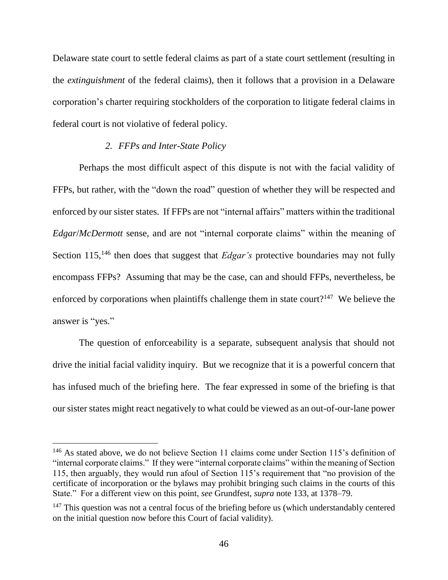Delaware state court to settle federal claims as part of a state court settlement (resulting in the *extinguishment* of the federal claims), then it follows that a provision in a Delaware corporation's charter requiring stockholders of the corporation to litigate federal claims in federal court is not violative of federal policy.

#### *2. FFPs and Inter-State Policy*

Perhaps the most difficult aspect of this dispute is not with the facial validity of FFPs, but rather, with the "down the road" question of whether they will be respected and enforced by our sister states. If FFPs are not "internal affairs" matters within the traditional *Edgar*/*McDermott* sense, and are not "internal corporate claims" within the meaning of Section 115,<sup>146</sup> then does that suggest that *Edgar's* protective boundaries may not fully encompass FFPs? Assuming that may be the case, can and should FFPs, nevertheless, be enforced by corporations when plaintiffs challenge them in state court?<sup>147</sup> We believe the answer is "yes."

The question of enforceability is a separate, subsequent analysis that should not drive the initial facial validity inquiry. But we recognize that it is a powerful concern that has infused much of the briefing here. The fear expressed in some of the briefing is that our sister states might react negatively to what could be viewed as an out-of-our-lane power

<sup>&</sup>lt;sup>146</sup> As stated above, we do not believe Section 11 claims come under Section 115's definition of "internal corporate claims." If they were "internal corporate claims" within the meaning of Section 115, then arguably, they would run afoul of Section 115's requirement that "no provision of the certificate of incorporation or the bylaws may prohibit bringing such claims in the courts of this State." For a different view on this point, *see* Grundfest, *supra* note 133, at 1378–79.

 $147$  This question was not a central focus of the briefing before us (which understandably centered on the initial question now before this Court of facial validity).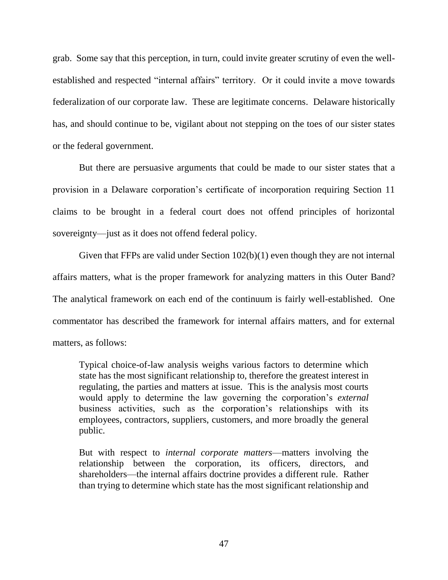grab. Some say that this perception, in turn, could invite greater scrutiny of even the wellestablished and respected "internal affairs" territory. Or it could invite a move towards federalization of our corporate law. These are legitimate concerns. Delaware historically has, and should continue to be, vigilant about not stepping on the toes of our sister states or the federal government.

But there are persuasive arguments that could be made to our sister states that a provision in a Delaware corporation's certificate of incorporation requiring Section 11 claims to be brought in a federal court does not offend principles of horizontal sovereignty—just as it does not offend federal policy.

Given that FFPs are valid under Section 102(b)(1) even though they are not internal affairs matters, what is the proper framework for analyzing matters in this Outer Band? The analytical framework on each end of the continuum is fairly well-established. One commentator has described the framework for internal affairs matters, and for external matters, as follows:

Typical choice-of-law analysis weighs various factors to determine which state has the most significant relationship to, therefore the greatest interest in regulating, the parties and matters at issue. This is the analysis most courts would apply to determine the law governing the corporation's *external* business activities, such as the corporation's relationships with its employees, contractors, suppliers, customers, and more broadly the general public.

But with respect to *internal corporate matters*—matters involving the relationship between the corporation, its officers, directors, and shareholders—the internal affairs doctrine provides a different rule. Rather than trying to determine which state has the most significant relationship and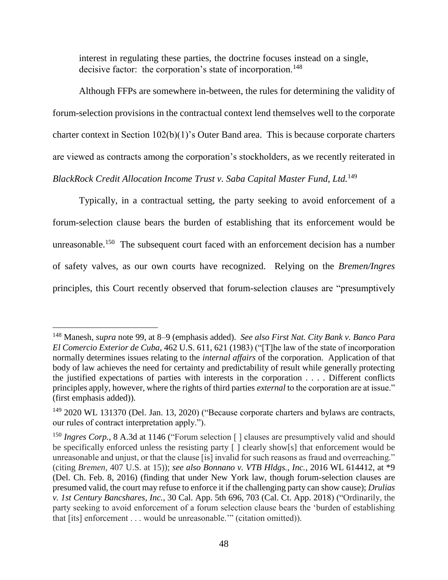interest in regulating these parties, the doctrine focuses instead on a single, decisive factor: the corporation's state of incorporation.<sup>148</sup>

Although FFPs are somewhere in-between, the rules for determining the validity of forum-selection provisions in the contractual context lend themselves well to the corporate charter context in Section 102(b)(1)'s Outer Band area. This is because corporate charters are viewed as contracts among the corporation's stockholders, as we recently reiterated in *BlackRock Credit Allocation Income Trust v. Saba Capital Master Fund, Ltd.*<sup>149</sup>

Typically, in a contractual setting, the party seeking to avoid enforcement of a forum-selection clause bears the burden of establishing that its enforcement would be unreasonable.<sup>150</sup> The subsequent court faced with an enforcement decision has a number of safety valves, as our own courts have recognized. Relying on the *Bremen/Ingres*  principles, this Court recently observed that forum-selection clauses are "presumptively

<sup>148</sup> Manesh, *supra* note 99, at 8–9 (emphasis added). *See also First Nat. City Bank v. Banco Para El Comercio Exterior de Cuba*, 462 U.S. 611, 621 (1983) ("[T]he law of the state of incorporation normally determines issues relating to the *internal affairs* of the corporation. Application of that body of law achieves the need for certainty and predictability of result while generally protecting the justified expectations of parties with interests in the corporation . . . . Different conflicts principles apply, however, where the rights of third parties *external* to the corporation are at issue." (first emphasis added)).

<sup>&</sup>lt;sup>149</sup> 2020 WL 131370 (Del. Jan. 13, 2020) ("Because corporate charters and bylaws are contracts, our rules of contract interpretation apply.").

<sup>&</sup>lt;sup>150</sup> *Ingres Corp.*, 8 A.3d at 1146 ("Forum selection [] clauses are presumptively valid and should be specifically enforced unless the resisting party [ ] clearly show[s] that enforcement would be unreasonable and unjust, or that the clause [is] invalid for such reasons as fraud and overreaching." (citing *Bremen*, 407 U.S. at 15)); *see also Bonnano v. VTB Hldgs., Inc.*, 2016 WL 614412, at \*9 (Del. Ch. Feb. 8, 2016) (finding that under New York law, though forum-selection clauses are presumed valid, the court may refuse to enforce it if the challenging party can show cause); *Drulias v. 1st Century Bancshares, Inc.*, 30 Cal. App. 5th 696, 703 (Cal. Ct. App. 2018) ("Ordinarily, the party seeking to avoid enforcement of a forum selection clause bears the 'burden of establishing that [its] enforcement . . . would be unreasonable.'" (citation omitted)).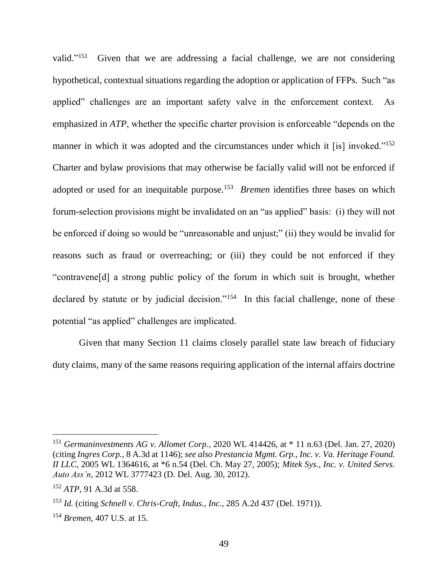valid."<sup>151</sup> Given that we are addressing a facial challenge, we are not considering hypothetical, contextual situations regarding the adoption or application of FFPs. Such "as applied" challenges are an important safety valve in the enforcement context. As emphasized in *ATP*, whether the specific charter provision is enforceable "depends on the manner in which it was adopted and the circumstances under which it [is] invoked."<sup>152</sup> Charter and bylaw provisions that may otherwise be facially valid will not be enforced if adopted or used for an inequitable purpose.<sup>153</sup> *Bremen* identifies three bases on which forum-selection provisions might be invalidated on an "as applied" basis: (i) they will not be enforced if doing so would be "unreasonable and unjust;" (ii) they would be invalid for reasons such as fraud or overreaching; or (iii) they could be not enforced if they "contravene[d] a strong public policy of the forum in which suit is brought, whether declared by statute or by judicial decision."<sup>154</sup> In this facial challenge, none of these potential "as applied" challenges are implicated.

Given that many Section 11 claims closely parallel state law breach of fiduciary duty claims, many of the same reasons requiring application of the internal affairs doctrine

<sup>151</sup> *Germaninvestments AG v. Allomet Corp.*, 2020 WL 414426, at \* 11 n.63 (Del. Jan. 27, 2020) (citing *Ingres Corp.*, 8 A.3d at 1146); *see also Prestancia Mgmt. Grp., Inc. v. Va. Heritage Found. II LLC*, 2005 WL 1364616, at \*6 n.54 (Del. Ch. May 27, 2005); *Mitek Sys., Inc. v. United Servs. Auto Ass'n*, 2012 WL 3777423 (D. Del. Aug. 30, 2012).

<sup>152</sup> *ATP*, 91 A.3d at 558.

<sup>153</sup> *Id.* (citing *Schnell v. Chris-Craft, Indus., Inc.*, 285 A.2d 437 (Del. 1971)).

<sup>154</sup> *Bremen*, 407 U.S. at 15.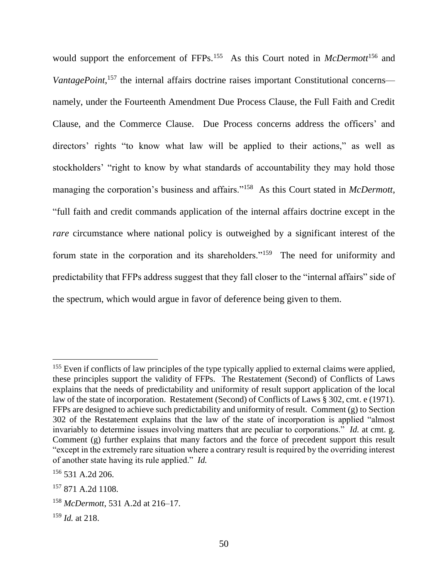would support the enforcement of FFPs.<sup>155</sup> As this Court noted in *McDermott*<sup>156</sup> and VantagePoint,<sup>157</sup> the internal affairs doctrine raises important Constitutional concerns namely, under the Fourteenth Amendment Due Process Clause, the Full Faith and Credit Clause, and the Commerce Clause. Due Process concerns address the officers' and directors' rights "to know what law will be applied to their actions," as well as stockholders' "right to know by what standards of accountability they may hold those managing the corporation's business and affairs."<sup>158</sup> As this Court stated in *McDermott*, "full faith and credit commands application of the internal affairs doctrine except in the *rare* circumstance where national policy is outweighed by a significant interest of the forum state in the corporation and its shareholders."<sup>159</sup> The need for uniformity and predictability that FFPs address suggest that they fall closer to the "internal affairs" side of the spectrum, which would argue in favor of deference being given to them.

<sup>&</sup>lt;sup>155</sup> Even if conflicts of law principles of the type typically applied to external claims were applied, these principles support the validity of FFPs. The Restatement (Second) of Conflicts of Laws explains that the needs of predictability and uniformity of result support application of the local law of the state of incorporation. Restatement (Second) of Conflicts of Laws § 302, cmt. e (1971). FFPs are designed to achieve such predictability and uniformity of result. Comment (g) to Section 302 of the Restatement explains that the law of the state of incorporation is applied "almost invariably to determine issues involving matters that are peculiar to corporations." *Id.* at cmt. g. Comment (g) further explains that many factors and the force of precedent support this result "except in the extremely rare situation where a contrary result is required by the overriding interest of another state having its rule applied." *Id.*

 $156$  531 A.2d 206.

<sup>157</sup> 871 A.2d 1108.

<sup>158</sup> *McDermott*, 531 A.2d at 216–17.

<sup>159</sup> *Id.* at 218.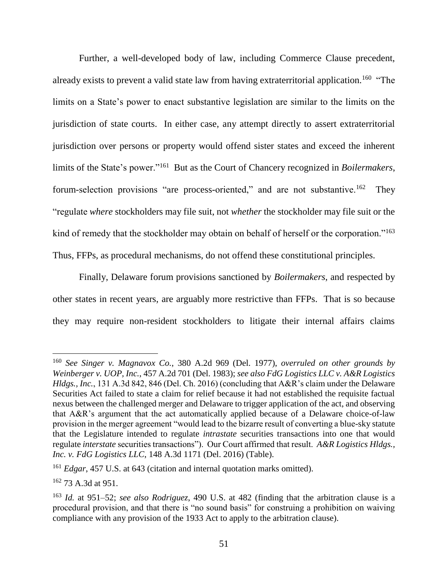Further, a well-developed body of law, including Commerce Clause precedent, already exists to prevent a valid state law from having extraterritorial application.<sup>160</sup> "The limits on a State's power to enact substantive legislation are similar to the limits on the jurisdiction of state courts. In either case, any attempt directly to assert extraterritorial jurisdiction over persons or property would offend sister states and exceed the inherent limits of the State's power."<sup>161</sup> But as the Court of Chancery recognized in *Boilermakers*, forum-selection provisions "are process-oriented," and are not substantive.<sup>162</sup> They "regulate *where* stockholders may file suit, not *whether* the stockholder may file suit or the kind of remedy that the stockholder may obtain on behalf of herself or the corporation."<sup>163</sup> Thus, FFPs, as procedural mechanisms, do not offend these constitutional principles.

Finally, Delaware forum provisions sanctioned by *Boilermakers*, and respected by other states in recent years, are arguably more restrictive than FFPs. That is so because they may require non-resident stockholders to litigate their internal affairs claims

<sup>160</sup> *See Singer v. Magnavox Co.*, 380 A.2d 969 (Del. 1977), *overruled on other grounds by Weinberger v. UOP, Inc.*, 457 A.2d 701 (Del. 1983); *see also FdG Logistics LLC v. A&R Logistics Hldgs., Inc.*, 131 A.3d 842, 846 (Del. Ch. 2016) (concluding that A&R's claim under the Delaware Securities Act failed to state a claim for relief because it had not established the requisite factual nexus between the challenged merger and Delaware to trigger application of the act, and observing that A&R's argument that the act automatically applied because of a Delaware choice-of-law provision in the merger agreement "would lead to the bizarre result of converting a blue-sky statute that the Legislature intended to regulate *intrastate* securities transactions into one that would regulate *interstate* securities transactions"). Our Court affirmed that result. *A&R Logistics Hldgs., Inc. v. FdG Logistics LLC*, 148 A.3d 1171 (Del. 2016) (Table).

<sup>&</sup>lt;sup>161</sup> *Edgar*, 457 U.S. at 643 (citation and internal quotation marks omitted).

<sup>162</sup> 73 A.3d at 951.

<sup>163</sup> *Id.* at 951–52; *see also Rodriguez*, 490 U.S. at 482 (finding that the arbitration clause is a procedural provision, and that there is "no sound basis" for construing a prohibition on waiving compliance with any provision of the 1933 Act to apply to the arbitration clause).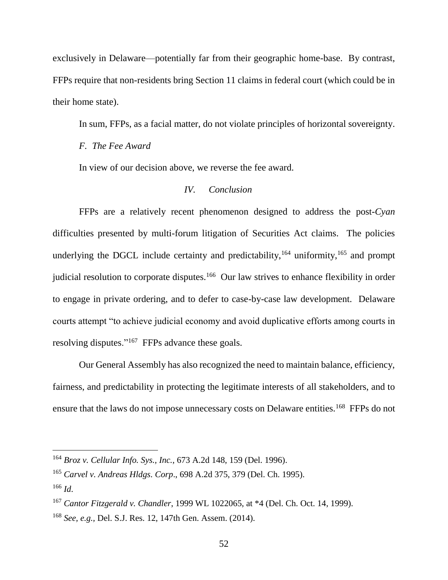exclusively in Delaware—potentially far from their geographic home-base. By contrast, FFPs require that non-residents bring Section 11 claims in federal court (which could be in their home state).

In sum, FFPs, as a facial matter, do not violate principles of horizontal sovereignty.

*F. The Fee Award*

In view of our decision above, we reverse the fee award.

## *IV. Conclusion*

FFPs are a relatively recent phenomenon designed to address the post-*Cyan* difficulties presented by multi-forum litigation of Securities Act claims. The policies underlying the DGCL include certainty and predictability,  $164$  uniformity,  $165$  and prompt judicial resolution to corporate disputes.<sup>166</sup> Our law strives to enhance flexibility in order to engage in private ordering, and to defer to case-by-case law development. Delaware courts attempt "to achieve judicial economy and avoid duplicative efforts among courts in resolving disputes."<sup>167</sup> FFPs advance these goals.

Our General Assembly has also recognized the need to maintain balance, efficiency, fairness, and predictability in protecting the legitimate interests of all stakeholders, and to ensure that the laws do not impose unnecessary costs on Delaware entities.<sup>168</sup> FFPs do not

<sup>164</sup> *Broz v. Cellular Info. Sys., Inc.*, 673 A.2d 148, 159 (Del. 1996).

<sup>165</sup> *Carvel v. Andreas Hldgs. Corp*., 698 A.2d 375, 379 (Del. Ch. 1995).

<sup>166</sup> *Id*.

<sup>167</sup> *Cantor Fitzgerald v. Chandler*, 1999 WL 1022065, at \*4 (Del. Ch. Oct. 14, 1999).

<sup>168</sup> *See, e.g.,* Del. S.J. Res. 12, 147th Gen. Assem. (2014).